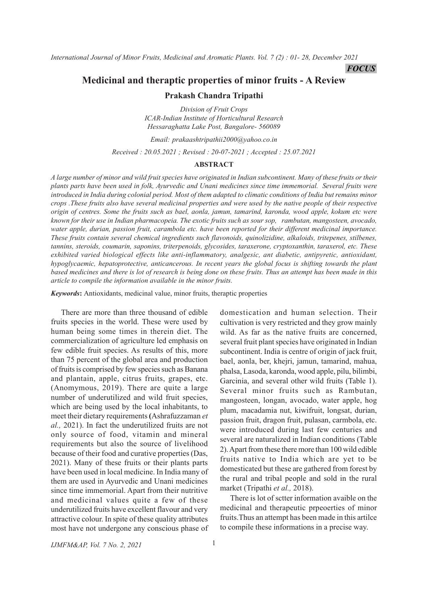*International Journal of Minor Fruits, Medicinal and Aromatic Plants. Vol. 7 (2) : 01- 28, December 2021*

*FOCUS*

# **Medicinal and theraptic properties of minor fruits - A Review**

## **Prakash Chandra Tripathi**

*Division of Fruit Crops ICAR-Indian Institute of Horticultural Research Hessaraghatta Lake Post, Bangalore- 560089*

*Email: prakaashtripathii2000@yahoo.co.in Received : 20.05.2021 ; Revised : 20-07-2021 ; Accepted : 25.07.2021*

#### **ABSTRACT**

*A large number of minor and wild fruit species have originated in Indian subcontinent. Many of these fruits or their plants parts have been used in folk, Ayurvedic and Unani medicines since time immemorial. Several fruits were introduced in India during colonial period. Most of them adapted to climatic conditions of India but remains minor crops .These fruits also have several medicinal properties and were used by the native people of their respective origin of centres. Some the fruits such as bael, aonla, jamun, tamarind, karonda, wood apple, kokum etc were known for their use in Indian pharmacopeia. The exotic fruits such as sour sop, rambutan, mangosteen, avocado, water apple, durian, passion fruit, carambola etc. have been reported for their different medicinal importance. These fruits contain several chemical ingredients such flavonoids, quinolizidine, alkaloids, tritepenes, stilbenes, tannins, steroids, coumarin, saponins, triterpenoids, glycosides, taraxerone, cryptoxanthin, taraxerol, etc. These exhibited varied biological effects like anti-inflammatory, analgesic, ant diabetic, antipyretic, antioxidant, hypoglycaemic, hepatoprotective, anticancerous. In recent years the global focus is shifting towards the plant based medicines and there is lot of research is being done on these fruits. Thus an attempt has been made in this article to compile the information available in the minor fruits.*

*Keywords***:** Antioxidants, medicinal value, minor fruits, theraptic properties

There are more than three thousand of edible fruits species in the world. These were used by human being some times in therein diet. The commercialization of agriculture led emphasis on few edible fruit species. As results of this, more than 75 percent of the global area and production of fruits is comprised by few species such as Banana and plantain, apple, citrus fruits, grapes, etc. (Anomymous, 2019). There are quite a large number of underutilized and wild fruit species, which are being used by the local inhabitants, to meet their dietary requirements **(**Ashrafuzzaman *et al.,* 2021). In fact the underutilized fruits are not only source of food, vitamin and mineral requirements but also the source of livelihood because of their food and curative properties (Das, 2021). Many of these fruits or their plants parts have been used in local medicine. In India many of them are used in Ayurvedic and Unani medicines since time immemorial. Apart from their nutritive and medicinal values quite a few of these underutilized fruits have excellent flavour and very attractive colour. In spite of these quality attributes most have not undergone any conscious phase of domestication and human selection. Their cultivation is very restricted and they grow mainly wild. As far as the native fruits are concerned, several fruit plant species have originated in Indian subcontinent. India is centre of origin of jack fruit, bael, aonla, ber, khejri, jamun, tamarind, mahua, phalsa, Lasoda, karonda, wood apple, pilu, bilimbi, Garcinia, and several other wild fruits (Table 1). Several minor fruits such as Rambutan, mangosteen, longan, avocado, water apple, hog plum, macadamia nut, kiwifruit, longsat, durian, passion fruit, dragon fruit, pulasan, carmbola, etc. were introduced during last few centuries and several are naturalized in Indian conditions (Table 2). Apart from these there more than 100 wild edible fruits native to India which are yet to be domesticated but these are gathered from forest by the rural and tribal people and sold in the rural market (Tripathi *et al.,* 2018).

There is lot of sctter information avaible on the medicinal and therapeutic prpeoerties of minor fruits.Thus an attempt has been made in this artilce to compile these informations in a precise way.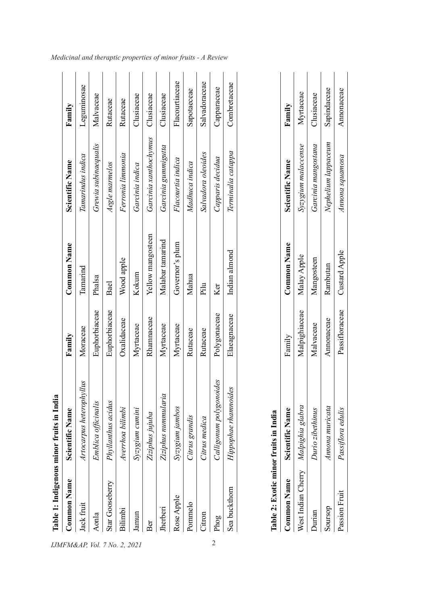|                    | Table 1: Indigenous minor fruits in India |               |                   |                       |                |
|--------------------|-------------------------------------------|---------------|-------------------|-----------------------|----------------|
| <b>Common Name</b> | Scientific Name                           | Family        | Common Name       | Scientific Name       | Family         |
| Jack fruit         | vllus<br>Artocarpus heterophy             | Moraceae      | Tamarind          | Tamarindus indica     | Leguminosae    |
| Aonla              | Emblica officinalis                       | Euphorbiaceae | Phalsa            | Grewia subinaequalis  | Malvaceae      |
| Star Gooseberry    | Phyllanthus acidus                        | Euphorbiaceae | Bael              | Aegle marmelos        | Rutaceae       |
| Bilimbi            | Averrhoa bilimbi                          | Oxalidaceae   | Wood apple        | Ferronia limmonia     | Rutaceae       |
| amun               | Syzygium cumini                           | Myrtaceae     | Kokum             | Garcinia indica       | Clusiaceae     |
| Ber                | Ziziphus jujuba                           | Rhamnaceae    | Yellow mangosteen | Garcinia xanthochymus | Clusiaceae     |
| Jherberi           | Ziziphus nummularia                       | Myrtaceae     | Malabar tamarind  | Garcinia gummigutta   | Clusiaceae     |
| Rose Apple         | Syzygium jambos                           | Myrtaceae     | Governor's plum   | Flacourtia indica     | Flacourtiaceae |
| Pommelo            | Citrus grandis                            | Rutaceae      | Mahua             | Madhuca indica        | Sapotaeceae    |
| Citron             | Citrus medica                             | Rutaceae      | Pilu              | Salvadora oleoides    | Salvadoraceae  |
| Phog               | Calligonum polygonoides                   | Polygonaceae  | Ker               | Capparis decidua      | Capparaceae    |
| Sea buckthorn      | Hippophae rhamnoides                      | Elaeagnaceae  | Indian almond     | Terminalia catappa    | Combretaceae   |
|                    |                                           |               |                   |                       |                |

| ř<br>J              |
|---------------------|
| ⊟                   |
| ≝<br>$\mathbf{r}$ u |
| munor               |
| vur<br>₿            |
| able                |
|                     |

| Table 2: Exotic minor fruits in India |                        |                              |                    |                                 |            |
|---------------------------------------|------------------------|------------------------------|--------------------|---------------------------------|------------|
| Common Name                           | <b>Scientific Name</b> | Family                       | <b>Common Name</b> | Scientific Name                 | Family     |
| West Indian Cherry Malpighia glabra   |                        | Malpighiaceae                | Malay Apple        | Syzygium malaccense             | Myrtaceae  |
| · Jurian                              | Durio zibethinus       | Malvaceae                    | Mangosteen         | Garcinia mangostana             | Clusiaceae |
| dossnoS                               | Annona muricata        | Annonaceae                   | Rambutan           | Nephelium lappaceum Sapindaceae |            |
| Passion Fruit                         | Passiflora edulis      | Passifloraceae Custard Apple |                    | Annona squamosa                 | Annonaceae |
|                                       |                        |                              |                    |                                 |            |

*Medicinal and theraptic properties of minor fruits - A Review*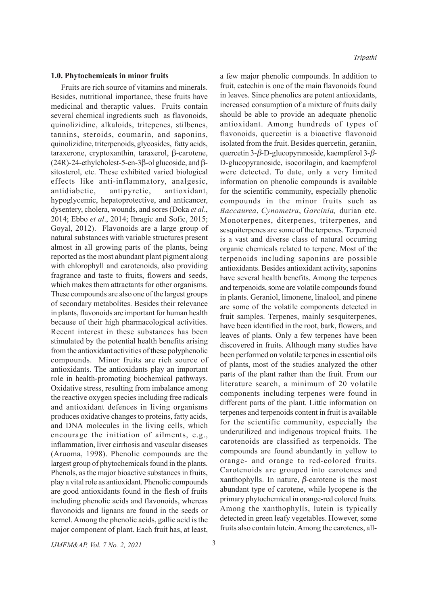#### **1.0. Phytochemicals in minor fruits**

Fruits are rich source of vitamins and minerals. Besides, nutritional importance, these fruits have medicinal and theraptic values. Fruits contain several chemical ingredients such as flavonoids, quinolizidine, alkaloids, tritepenes, stilbenes, tannins, steroids, coumarin, and saponins, quinolizidine, triterpenoids, glycosides, fatty acids,  $\alpha$  taraxerone, cryptoxanthin, taraxerol,  $\beta$ -carotene,  $(24R)$ -24-ethylcholest-5-en-3 $\beta$ -ol glucoside, and  $\beta$ sitosterol, etc. These exhibited varied biological effects like anti-inflammatory, analgesic, antidiabetic, antipyretic, antioxidant, hypoglycemic, hepatoprotective, and anticancer, dysentery, cholera, wounds, and sores (Doka *et al*., 2014; Ebbo *et al*., 2014; Ibragic and Sofic, 2015; Goyal, 2012). Flavonoids are a large group of natural substances with variable structures present almost in all growing parts of the plants, being reported as the most abundant plant pigment along with chlorophyll and carotenoids, also providing fragrance and taste to fruits, flowers and seeds, which makes them attractants for other organisms. These compounds are also one of the largest groups of secondary metabolites. Besides their relevance in plants, flavonoids are important for human health because of their high pharmacological activities. Recent interest in these substances has been stimulated by the potential health benefits arising from the antioxidant activities of these polyphenolic compounds. Minor fruits are rich source of antioxidants. The antioxidants play an important role in health-promoting biochemical pathways. Oxidative stress, resulting from imbalance among the reactive oxygen species including free radicals and antioxidant defences in living organisms produces oxidative changes to proteins, fatty acids, and DNA molecules in the living cells, which encourage the initiation of ailments, e.g., inflammation, liver cirrhosis and vascular diseases (Aruoma, 1998). Phenolic compounds are the largest group of phytochemicals found in the plants. Phenols, as the major bioactive substances in fruits, play a vital role as antioxidant. Phenolic compounds are good antioxidants found in the flesh of fruits including phenolic acids and flavonoids, whereas flavonoids and lignans are found in the seeds or kernel. Among the phenolic acids, gallic acid is the major component of plant. Each fruit has, at least,

a few major phenolic compounds. In addition to fruit, catechin is one of the main flavonoids found in leaves. Since phenolics are potent antioxidants, increased consumption of a mixture of fruits daily should be able to provide an adequate phenolic antioxidant. Among hundreds of types of flavonoids, quercetin is a bioactive flavonoid isolated from the fruit. Besides quercetin, geraniin, quercetin 3- $\beta$ -D-glucopyranoside, kaempferol 3- $\beta$ -D-glucopyranoside, isocorilagin, and kaempferol were detected. To date, only a very limited information on phenolic compounds is available for the scientific community, especially phenolic compounds in the minor fruits such as *Baccaurea*, *Cynometra*, *Garcinia,* durian etc. Monoterpenes, diterpenes, triterpenes, and sesquiterpenes are some of the terpenes. Terpenoid is a vast and diverse class of natural occurring organic chemicals related to terpene. Most of the terpenoids including saponins are possible antioxidants. Besides antioxidant activity, saponins have several health benefits. Among the terpenes and terpenoids, some are volatile compounds found in plants. Geraniol, limonene, linalool, and pinene are some of the volatile components detected in fruit samples. Terpenes, mainly sesquiterpenes, have been identified in the root, bark, flowers, and leaves of plants. Only a few terpenes have been discovered in fruits. Although many studies have been performed on volatile terpenes in essential oils of plants, most of the studies analyzed the other parts of the plant rather than the fruit. From our literature search, a minimum of 20 volatile components including terpenes were found in different parts of the plant. Little information on terpenes and terpenoids content in fruit is available for the scientific community, especially the underutilized and indigenous tropical fruits. The carotenoids are classified as terpenoids. The compounds are found abundantly in yellow to orange- and orange to red-colored fruits. Carotenoids are grouped into carotenes and xanthophylls. In nature,  $\beta$ -carotene is the most abundant type of carotene, while lycopene is the primary phytochemical in orange-red colored fruits. Among the xanthophylls, lutein is typically detected in green leafy vegetables. However, some fruits also contain lutein. Among the carotenes, all-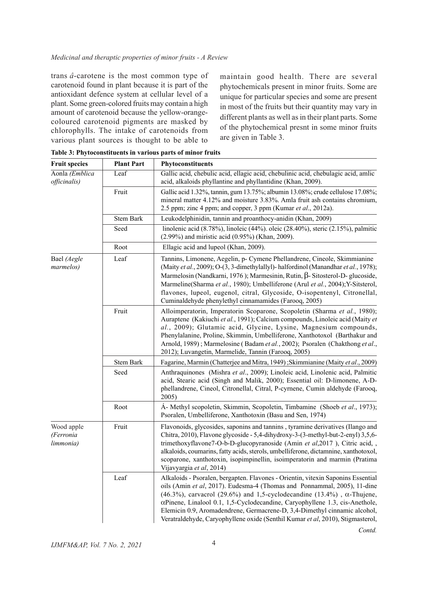### *Medicinal and theraptic properties of minor fruits - A Review*

trans *â*-carotene is the most common type of carotenoid found in plant because it is part of the antioxidant defence system at cellular level of a plant. Some green-colored fruits may contain a high amount of carotenoid because the yellow-orangecoloured carotenoid pigments are masked by chlorophylls. The intake of carotenoids from various plant sources is thought to be able to maintain good health. There are several phytochemicals present in minor fruits. Some are unique for particular species and some are present in most of the fruits but their quantity may vary in different plants as well as in their plant parts. Some of the phytochemical presnt in some minor fruits are given in Table 3.

*Contd.*

| <b>Fruit species</b>                 | <b>Plant Part</b> | Phytoconstituents                                                                                                                                                                                                                                                                                                                                                                                                                                                                           |
|--------------------------------------|-------------------|---------------------------------------------------------------------------------------------------------------------------------------------------------------------------------------------------------------------------------------------------------------------------------------------------------------------------------------------------------------------------------------------------------------------------------------------------------------------------------------------|
| Aonla (Emblica<br>officinalis)       | Leaf              | Gallic acid, chebulic acid, ellagic acid, chebulinic acid, chebulagic acid, amlic<br>acid, alkaloids phyllantine and phyllantidine (Khan, 2009).                                                                                                                                                                                                                                                                                                                                            |
|                                      | Fruit             | Gallic acid 1.32%, tannin, gum 13.75%; albumin 13.08%; crude cellulose 17.08%;<br>mineral matter 4.12% and moisture 3.83%. Amla fruit ash contains chromium,<br>2.5 ppm; zinc 4 ppm; and copper, 3 ppm (Kumar et al., 2012a).                                                                                                                                                                                                                                                               |
|                                      | Stem Bark         | Leukodelphinidin, tannin and proanthocy-anidin (Khan, 2009)                                                                                                                                                                                                                                                                                                                                                                                                                                 |
|                                      | Seed              | linolenic acid (8.78%), linoleic (44%). oleic (28.40%), steric (2.15%), palmitic<br>(2.99%) and miristic acid (0.95%) (Khan, 2009).                                                                                                                                                                                                                                                                                                                                                         |
|                                      | Root              | Ellagic acid and lupeol (Khan, 2009).                                                                                                                                                                                                                                                                                                                                                                                                                                                       |
| Bael (Aegle<br>marmelos)             | Leaf              | Tannins, Limonene, Aegelin, p- Cymene Phellandrene, Cineole, Skimmianine<br>(Maity et al., 2009); O-(3, 3-dimethylallyl)- halfordinol (Manandhar et al., 1978);<br>Marmelosin (Nandkarni, 1976); Marmesinin, Rutin, $\beta$ - Sitosterol-D- glucoside,<br>Marmeline(Sharma et al., 1980); Umbelliferone (Arul et al., 2004); Y-Sitsterol,<br>flavones, lupeol, eugenol, citral, Glycoside, O-isopentenyl, Citronellal,<br>Cuminaldehyde phenylethyl cinnamamides (Farooq, 2005)             |
|                                      | Fruit             | Alloimperatorin, Imperatorin Scoparone, Scopoletin (Sharma et al., 1980);<br>Auraptene (Kakiuchi et al., 1991); Calcium compounds, Linoleic acid (Maity et<br>al., 2009); Glutamic acid, Glycine, Lysine, Magnesium compounds,<br>Phenylalanine, Proline, Skimmin, Umbelliferone, Xanthotoxol (Barthakur and<br>Arnold, 1989); Marmelosine (Badam et al., 2002); Psoralen (Chakthong et al.,<br>2012); Luvangetin, Marmelide, Tannin (Farooq, 2005)                                         |
|                                      | Stem Bark         | Fagarine, Marmin (Chatterjee and Mitra, 1949); Skimmianine (Maity et al., 2009)                                                                                                                                                                                                                                                                                                                                                                                                             |
|                                      | Seed              | Anthraquinones (Mishra et al., 2009); Linoleic acid, Linolenic acid, Palmitic<br>acid, Stearic acid (Singh and Malik, 2000); Essential oil: D-limonene, A-D-<br>phellandrene, Cineol, Citronellal, Citral, P-cyrnene, Cumin aldehyde (Farooq,<br>2005)                                                                                                                                                                                                                                      |
|                                      | Root              | Á- Methyl scopoletin, Skimmin, Scopoletin, Timbamine (Shoeb et al., 1973);<br>Psoralen, Umbelliferone, Xanthotoxin (Basu and Sen, 1974)                                                                                                                                                                                                                                                                                                                                                     |
| Wood apple<br>(Ferronia<br>limmonia) | Fruit             | Flavonoids, glycosides, saponins and tannins, tyramine derivatives (Ilango and<br>Chitra, 2010), Flavone glycoside - 5,4-dihydroxy-3-(3-methyl-but-2-enyl) 3,5,6-<br>trimethoxyflavone7-O-b-D-glucopyranoside (Amin et al,2017), Citric acid,<br>alkaloids, coumarins, fatty acids, sterols, umbelliferone, dictamnine, xanthotoxol,<br>scoparone, xanthotoxin, isopimpinellin, isoimperatorin and marmin (Pratima<br>Vijavyargia et al, 2014)                                              |
|                                      | Leaf              | Alkaloids - Psoralen, bergapten. Flavones - Orientin, vitexin Saponins Essential<br>oils (Amin et al, 2017). Eudesma-4 (Thomas and Ponnammal, 2005), 11-dine<br>(46.3%), carvacrol (29.6%) and 1,5-cyclodecandine (13.4%), $\alpha$ -Thujene,<br>αPinene, Linalool 0.1, 1,5-Cyclodecandine, Caryophyllene 1.3, cis-Anethole,<br>Elemicin 0.9, Aromadendrene, Germacrene-D, 3,4-Dimethyl cinnamic alcohol,<br>Veratraldehyde, Caryophyllene oxide (Senthil Kumar et al, 2010), Stigmasterol, |

**Table 3: Phytoconstituents in various parts of minor fruits**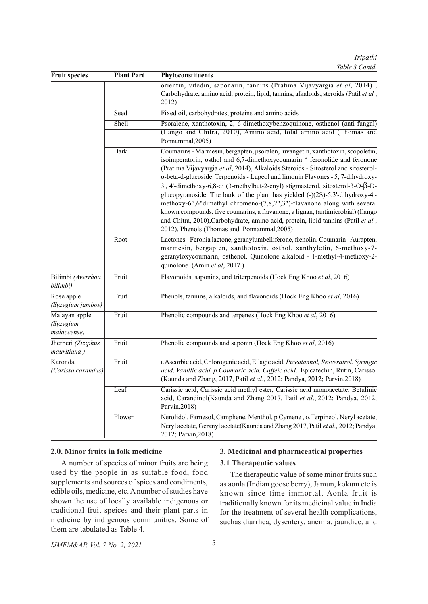*Tripathi Table 3 Contd.*

| <b>Fruit species</b>                      | <b>Plant Part</b> | Phytoconstituents                                                                                                                                                                                                                                                                                                                                                                                                                                                                                                                                                                                                                                                                                                                                                                                                    |
|-------------------------------------------|-------------------|----------------------------------------------------------------------------------------------------------------------------------------------------------------------------------------------------------------------------------------------------------------------------------------------------------------------------------------------------------------------------------------------------------------------------------------------------------------------------------------------------------------------------------------------------------------------------------------------------------------------------------------------------------------------------------------------------------------------------------------------------------------------------------------------------------------------|
|                                           |                   | orientin, vitedin, saponarin, tannins (Pratima Vijavyargia et al, 2014),<br>Carbohydrate, amino acid, protein, lipid, tannins, alkaloids, steroids (Patil et al,<br>2012)                                                                                                                                                                                                                                                                                                                                                                                                                                                                                                                                                                                                                                            |
|                                           | Seed              | Fixed oil, carbohydrates, proteins and amino acids                                                                                                                                                                                                                                                                                                                                                                                                                                                                                                                                                                                                                                                                                                                                                                   |
|                                           | Shell             | Psoralene, xanthotoxin, 2, 6-dimethoxybenzoquinone, osthenol (anti-fungal)                                                                                                                                                                                                                                                                                                                                                                                                                                                                                                                                                                                                                                                                                                                                           |
|                                           |                   | (Ilango and Chitra, 2010), Amino acid, total amino acid (Thomas and<br>Ponnammal, 2005)                                                                                                                                                                                                                                                                                                                                                                                                                                                                                                                                                                                                                                                                                                                              |
|                                           | <b>Bark</b>       | Coumarins - Marmesin, bergapten, psoralen, luvangetin, xanthotoxin, scopoletin,<br>isoimperatorin, osthol and 6,7-dimethoxycoumarin "feronolide and feronone<br>(Pratima Vijavyargia et al, 2014), Alkaloids Steroids - Sitosterol and sitosterol-<br>o-beta-d-glucoside. Terpenoids - Lupeol and limonin Flavones - 5, 7-dihydroxy-<br>$3'$ , 4'-dimethoxy-6,8-di (3-methylbut-2-enyl) stigmasterol, sitosterol-3-O- $\beta$ -D-<br>glucopyranoside. The bark of the plant has yielded (-)(2S)-5,3'-dihydroxy-4'-<br>methoxy-6",6"dimethyl chromeno-(7,8,2",3")-flavanone along with several<br>known compounds, five coumarins, a flavanone, a lignan, (antimicrobial) (Ilango<br>and Chitra, 2010), Carbohydrate, amino acid, protein, lipid tannins (Patil et al,<br>2012), Phenols (Thomas and Ponnammal, 2005) |
|                                           | Root              | Lactones - Feronia lactone, geranylumbelliferone, frenolin. Coumarin - Aurapten,<br>marmesin, bergapten, xanthotoxin, osthol, xanthyletin, 6-methoxy-7-<br>geranyloxycoumarin, osthenol. Quinolone alkaloid - 1-methyl-4-methoxy-2-<br>quinolone (Amin et al, 2017)                                                                                                                                                                                                                                                                                                                                                                                                                                                                                                                                                  |
| Bilimbi (Averrhoa<br>bilimbi)             | Fruit             | Flavonoids, saponins, and triterpenoids (Hock Eng Khoo et al, 2016)                                                                                                                                                                                                                                                                                                                                                                                                                                                                                                                                                                                                                                                                                                                                                  |
| Rose apple<br>(Syzygium jambos)           | Fruit             | Phenols, tannins, alkaloids, and flavonoids (Hock Eng Khoo et al, 2016)                                                                                                                                                                                                                                                                                                                                                                                                                                                                                                                                                                                                                                                                                                                                              |
| Malayan apple<br>(Syzygium<br>malaccense) | Fruit             | Phenolic compounds and terpenes (Hock Eng Khoo et al, 2016)                                                                                                                                                                                                                                                                                                                                                                                                                                                                                                                                                                                                                                                                                                                                                          |
| Jherberi (Ziziphus<br>mauritiana)         | Fruit             | Phenolic compounds and saponin (Hock Eng Khoo et al, 2016)                                                                                                                                                                                                                                                                                                                                                                                                                                                                                                                                                                                                                                                                                                                                                           |
| Karonda<br>(Carissa carandus)             | Fruit             | L Ascorbic acid, Chlorogenic acid, Ellagic acid, Piceatannol, Resveratrol. Syringic<br>acid, Vanillic acid, p Coumaric acid, Caffeic acid, Epicatechin, Rutin, Carissol<br>(Kaunda and Zhang, 2017, Patil et al., 2012; Pandya, 2012; Parvin, 2018)                                                                                                                                                                                                                                                                                                                                                                                                                                                                                                                                                                  |
|                                           | Leaf              | Carissic acid, Carissic acid methyl ester, Carissic acid monoacetate, Betulinic<br>acid, Carandinol(Kaunda and Zhang 2017, Patil et al., 2012; Pandya, 2012;<br>Parvin, 2018)                                                                                                                                                                                                                                                                                                                                                                                                                                                                                                                                                                                                                                        |
|                                           | Flower            | Nerolidol, Farnesol, Camphene, Menthol, p Cymene, a Terpineol, Neryl acetate,<br>Neryl acetate, Geranyl acetate(Kaunda and Zhang 2017, Patil et al., 2012; Pandya,<br>2012; Parvin, 2018)                                                                                                                                                                                                                                                                                                                                                                                                                                                                                                                                                                                                                            |

## **2.0. Minor fruits in folk medicine**

A number of species of minor fruits are being used by the people in as suitable food, food supplements and sources of spices and condiments, edible oils, medicine, etc. A number of studies have shown the use of locally available indigenous or traditional fruit speices and their plant parts in medicine by indigenous communities. Some of them are tabulated as Table 4.

## **3. Medicinal and pharmceatical properties**

## **3.1 Therapeutic values**

The therapeutic value of some minor fruits such as aonla (Indian goose berry), Jamun, kokum etc is known since time immortal. Aonla fruit is traditionally known for its medicinal value in India for the treatment of several health complications, suchas diarrhea, dysentery, anemia, jaundice, and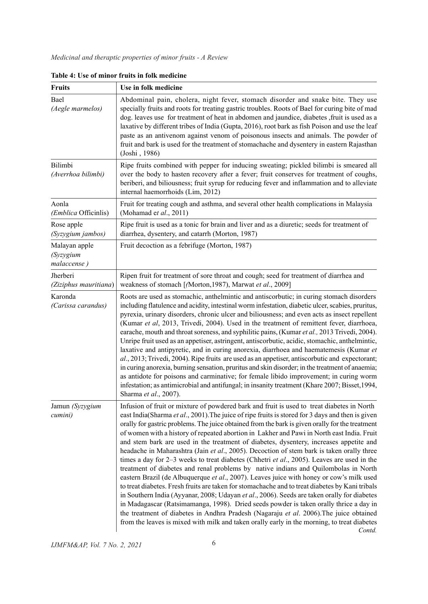| <b>Fruits</b>                                    | Use in folk medicine                                                                                                                                                                                                                                                                                                                                                                                                                                                                                                                                                                                                                                                                                                                                                                                                                                                                                                                                                                                                                                                                                                                                                                                                                                                                                                                                                   |
|--------------------------------------------------|------------------------------------------------------------------------------------------------------------------------------------------------------------------------------------------------------------------------------------------------------------------------------------------------------------------------------------------------------------------------------------------------------------------------------------------------------------------------------------------------------------------------------------------------------------------------------------------------------------------------------------------------------------------------------------------------------------------------------------------------------------------------------------------------------------------------------------------------------------------------------------------------------------------------------------------------------------------------------------------------------------------------------------------------------------------------------------------------------------------------------------------------------------------------------------------------------------------------------------------------------------------------------------------------------------------------------------------------------------------------|
| Bael<br>(Aegle marmelos)                         | Abdominal pain, cholera, night fever, stomach disorder and snake bite. They use<br>specially fruits and roots for treating gastric troubles. Roots of Bael for curing bite of mad<br>dog. leaves use for treatment of heat in abdomen and jaundice, diabetes , fruit is used as a<br>laxative by different tribes of India (Gupta, 2016), root bark as fish Poison and use the leaf<br>paste as an antivenom against venom of poisonous insects and animals. The powder of<br>fruit and bark is used for the treatment of stomachache and dysentery in eastern Rajasthan<br>(Joshi, 1986)                                                                                                                                                                                                                                                                                                                                                                                                                                                                                                                                                                                                                                                                                                                                                                              |
| Bilimbi<br>(Averrhoa bilimbi)                    | Ripe fruits combined with pepper for inducing sweating; pickled bilimbi is smeared all<br>over the body to hasten recovery after a fever; fruit conserves for treatment of coughs,<br>beriberi, and biliousness; fruit syrup for reducing fever and inflammation and to alleviate<br>internal haemorrhoids (Lim, 2012)                                                                                                                                                                                                                                                                                                                                                                                                                                                                                                                                                                                                                                                                                                                                                                                                                                                                                                                                                                                                                                                 |
| Aonla<br>(Emblica Officinlis)                    | Fruit for treating cough and asthma, and several other health complications in Malaysia<br>(Mohamad et $al., 2011$ )                                                                                                                                                                                                                                                                                                                                                                                                                                                                                                                                                                                                                                                                                                                                                                                                                                                                                                                                                                                                                                                                                                                                                                                                                                                   |
| Rose apple<br>(Syzygium jambos)                  | Ripe fruit is used as a tonic for brain and liver and as a diuretic; seeds for treatment of<br>diarrhea, dysentery, and catarrh (Morton, 1987)                                                                                                                                                                                                                                                                                                                                                                                                                                                                                                                                                                                                                                                                                                                                                                                                                                                                                                                                                                                                                                                                                                                                                                                                                         |
| Malayan apple<br><i>(Syzygium</i><br>malaccense) | Fruit decoction as a febrifuge (Morton, 1987)                                                                                                                                                                                                                                                                                                                                                                                                                                                                                                                                                                                                                                                                                                                                                                                                                                                                                                                                                                                                                                                                                                                                                                                                                                                                                                                          |
| Jherberi<br>(Ziziphus mauritiana)                | Ripen fruit for treatment of sore throat and cough; seed for treatment of diarrhea and<br>weakness of stomach [(Morton, 1987), Marwat et al., 2009]                                                                                                                                                                                                                                                                                                                                                                                                                                                                                                                                                                                                                                                                                                                                                                                                                                                                                                                                                                                                                                                                                                                                                                                                                    |
| Karonda<br>(Carissa carandus)                    | Roots are used as stomachic, anthelmintic and antiscorbutic; in curing stomach disorders<br>including flatulence and acidity, intestinal worm infestation, diabetic ulcer, scabies, pruritus,<br>pyrexia, urinary disorders, chronic ulcer and biliousness; and even acts as insect repellent<br>(Kumar et al, 2013, Trivedi, 2004). Used in the treatment of remittent fever, diarrhoea,<br>earache, mouth and throat soreness, and syphilitic pains, (Kumar et al., 2013 Trivedi, 2004).<br>Unripe fruit used as an appetiser, astringent, antiscorbutic, acidic, stomachic, anthelmintic,<br>laxative and antipyretic, and in curing anorexia, diarrhoea and haematemesis (Kumar et<br>al., 2013; Trivedi, 2004). Ripe fruits are used as an appetiser, antiscorbutic and expectorant;<br>in curing anorexia, burning sensation, pruritus and skin disorder; in the treatment of anaemia;<br>as antidote for poisons and carminative; for female libido improvement; in curing worm<br>infestation; as antimicrobial and antifungal; in insanity treatment (Khare 2007; Bisset, 1994,<br>Sharma et al., 2007).                                                                                                                                                                                                                                                      |
| Jamun (Syzygium<br>cumini)                       | Infusion of fruit or mixture of powdered bark and fruit is used to treat diabetes in North<br>east India(Sharma et al., 2001). The juice of ripe fruits is stored for 3 days and then is given<br>orally for gastric problems. The juice obtained from the bark is given orally for the treatment<br>of women with a history of repeated abortion in Lakher and Pawi in North east India. Fruit<br>and stem bark are used in the treatment of diabetes, dysentery, increases appetite and<br>headache in Maharashtra (Jain et al., 2005). Decoction of stem bark is taken orally three<br>times a day for 2–3 weeks to treat diabetes (Chhetri et al., 2005). Leaves are used in the<br>treatment of diabetes and renal problems by native indians and Quilombolas in North<br>eastern Brazil (de Albuquerque et al., 2007). Leaves juice with honey or cow's milk used<br>to treat diabetes. Fresh fruits are taken for stomachache and to treat diabetes by Kani tribals<br>in Southern India (Ayyanar, 2008; Udayan et al., 2006). Seeds are taken orally for diabetes<br>in Madagascar (Ratsimamanga, 1998). Dried seeds powder is taken orally thrice a day in<br>the treatment of diabetes in Andhra Pradesh (Nagaraju et al. 2006). The juice obtained<br>from the leaves is mixed with milk and taken orally early in the morning, to treat diabetes<br>Contd. |

**Table 4: Use of minor fruits in folk medicine**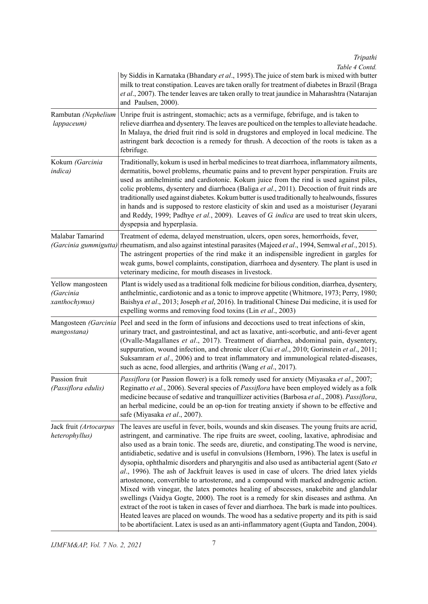*Tripathi*

*Table 4 Contd.*

|                                                 | by Siddis in Karnataka (Bhandary et al., 1995). The juice of stem bark is mixed with butter<br>milk to treat constipation. Leaves are taken orally for treatment of diabetes in Brazil (Braga<br>et al., 2007). The tender leaves are taken orally to treat jaundice in Maharashtra (Natarajan<br>and Paulsen, 2000).                                                                                                                                                                                                                                                                                                                                                                                                                                                                                                                                                                                                                                                                                                                                                                                                                                       |
|-------------------------------------------------|-------------------------------------------------------------------------------------------------------------------------------------------------------------------------------------------------------------------------------------------------------------------------------------------------------------------------------------------------------------------------------------------------------------------------------------------------------------------------------------------------------------------------------------------------------------------------------------------------------------------------------------------------------------------------------------------------------------------------------------------------------------------------------------------------------------------------------------------------------------------------------------------------------------------------------------------------------------------------------------------------------------------------------------------------------------------------------------------------------------------------------------------------------------|
| Rambutan (Nephelium<br>lappaceum)               | Unripe fruit is astringent, stomachic; acts as a vermifuge, febrifuge, and is taken to<br>relieve diarrhea and dysentery. The leaves are poulticed on the temples to alleviate headache.<br>In Malaya, the dried fruit rind is sold in drugstores and employed in local medicine. The<br>astringent bark decoction is a remedy for thrush. A decoction of the roots is taken as a<br>febrifuge.                                                                                                                                                                                                                                                                                                                                                                                                                                                                                                                                                                                                                                                                                                                                                             |
| Kokum (Garcinia<br><i>indica</i> )              | Traditionally, kokum is used in herbal medicines to treat diarrhoea, inflammatory ailments,<br>dermatitis, bowel problems, rheumatic pains and to prevent hyper perspiration. Fruits are<br>used as antihelmintic and cardiotonic. Kokum juice from the rind is used against piles,<br>colic problems, dysentery and diarrhoea (Baliga et al., 2011). Decoction of fruit rinds are<br>traditionally used against diabetes. Kokum butter is used traditionally to healwounds, fissures<br>in hands and is supposed to restore elasticity of skin and used as a moisturiser (Jeyarani<br>and Reddy, 1999; Padhye et al., 2009). Leaves of G. indica are used to treat skin ulcers,<br>dyspepsia and hyperplasia.                                                                                                                                                                                                                                                                                                                                                                                                                                              |
| Malabar Tamarind<br>(Garcinia gummigutta)       | Treatment of edema, delayed menstruation, ulcers, open sores, hemorrhoids, fever,<br>rheumatism, and also against intestinal parasites (Majeed et al., 1994, Semwal et al., 2015).<br>The astringent properties of the rind make it an indispensible ingredient in gargles for<br>weak gums, bowel complaints, constipation, diarrhoea and dysentery. The plant is used in<br>veterinary medicine, for mouth diseases in livestock.                                                                                                                                                                                                                                                                                                                                                                                                                                                                                                                                                                                                                                                                                                                         |
| Yellow mangosteen<br>(Garcinia<br>xanthochymus) | Plant is widely used as a traditional folk medicine for bilious condition, diarrhea, dysentery,<br>anthelmintic, cardiotonic and as a tonic to improve appetite (Whitmore, 1973; Perry, 1980;<br>Baishya et al., 2013; Joseph et al, 2016). In traditional Chinese Dai medicine, it is used for<br>expelling worms and removing food toxins (Lin et al., 2003)                                                                                                                                                                                                                                                                                                                                                                                                                                                                                                                                                                                                                                                                                                                                                                                              |
| Mangosteen (Garcinia<br>mangostana)             | Peel and seed in the form of infusions and decoctions used to treat infections of skin,<br>urinary tract, and gastrointestinal, and act as laxative, anti-scorbutic, and anti-fever agent<br>(Ovalle-Magallanes et al., 2017). Treatment of diarrhea, abdominal pain, dysentery,<br>suppuration, wound infection, and chronic ulcer (Cui et al., 2010; Gorinstein et al., 2011;<br>Suksamram et al., 2006) and to treat inflammatory and immunological related-diseases,<br>such as acne, food allergies, and arthritis (Wang et al., 2017).                                                                                                                                                                                                                                                                                                                                                                                                                                                                                                                                                                                                                |
| Passion fruit<br>(Passiflora edulis)            | Passiflora (or Passion flower) is a folk remedy used for anxiety (Miyasaka et al., 2007;<br>Reginatto et al., 2006). Several species of Passiflora have been employed widely as a folk<br>medicine because of sedative and tranquillizer activities (Barbosa et al., 2008). Passiflora,<br>an herbal medicine, could be an op-tion for treating anxiety if shown to be effective and<br>safe (Miyasaka et al., 2007).                                                                                                                                                                                                                                                                                                                                                                                                                                                                                                                                                                                                                                                                                                                                       |
| Jack fruit (Artocarpus<br>heterophyllus)        | The leaves are useful in fever, boils, wounds and skin diseases. The young fruits are acrid,<br>astringent, and carminative. The ripe fruits are sweet, cooling, laxative, aphrodisiac and<br>also used as a brain tonic. The seeds are, diuretic, and constipating. The wood is nervine,<br>antidiabetic, sedative and is useful in convulsions (Hemborn, 1996). The latex is useful in<br>dysopia, ophthalmic disorders and pharyngitis and also used as antibacterial agent (Sato et<br>al., 1996). The ash of Jackfruit leaves is used in case of ulcers. The dried latex yields<br>artostenone, convertible to artosterone, and a compound with marked androgenic action.<br>Mixed with vinegar, the latex pomotes healing of abscesses, snakebite and glandular<br>swellings (Vaidya Gogte, 2000). The root is a remedy for skin diseases and asthma. An<br>extract of the root is taken in cases of fever and diarrhoea. The bark is made into poultices.<br>Heated leaves are placed on wounds. The wood has a sedative property and its pith is said<br>to be abortifacient. Latex is used as an anti-inflammatory agent (Gupta and Tandon, 2004). |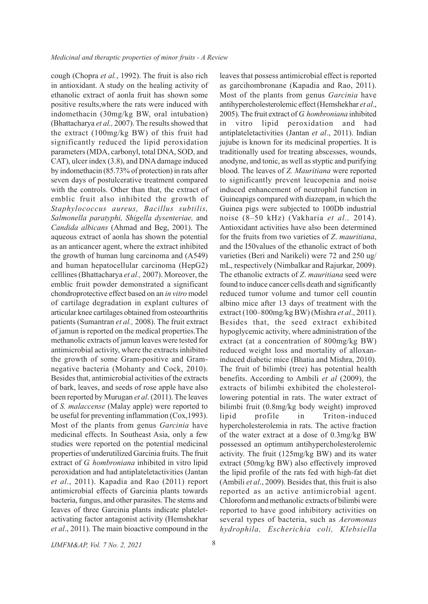cough (Chopra *et al.*, 1992). The fruit is also rich in antioxidant. A study on the healing activity of ethanolic extract of aonla fruit has shown some positive results,where the rats were induced with indomethacin (30mg/kg BW, oral intubation) (Bhattacharya *et al.,* 2007). The results showed that the extract (100mg/kg BW) of this fruit had significantly reduced the lipid peroxidation parameters (MDA, carbonyl, total DNA, SOD, and CAT), ulcer index (3.8), and DNA damage induced by indomethacin (85.73% of protection) in rats after seven days of postulcerative treatment compared with the controls. Other than that, the extract of emblic fruit also inhibited the growth of *Staphylococcus aureus, Bacillus subtilis, Salmonella paratyphi, Shigella dysenteriae,* and *Candida albicans* (Ahmad and Beg, 2001). The aqueous extract of aonla has shown the potential as an anticancer agent, where the extract inhibited the growth of human lung carcinoma and (A549) and human hepatocellular carcinoma (HepG2) celllines (Bhattacharya *et al.,* 2007). Moreover, the emblic fruit powder demonstrated a significant chondroprotective effect based on an *in vitro* model of cartilage degradation in explant cultures of articular knee cartilages obtained from osteoarthritis patients (Sumantran *et al.,* 2008). The fruit extract of jamun is reported on the medical properties.The methanolic extracts of jamun leaves were tested for antimicrobial activity, where the extracts inhibited the growth of some Gram-positive and Gramnegative bacteria (Mohanty and Cock, 2010). Besides that, antimicrobial activities of the extracts of bark, leaves, and seeds of rose apple have also been reported by Murugan *et al*. (2011). The leaves of *S. malaccense* (Malay apple) were reported to be useful for preventing inflammation (Cox,1993). Most of the plants from genus *Garcinia* have medicinal effects. In Southeast Asia, only a few studies were reported on the potential medicinal properties of underutilized Garcinia fruits. The fruit extract of *G. hombroniana* inhibited in vitro lipid peroxidation and had antiplateletactivities (Jantan *et al*., 2011). Kapadia and Rao (2011) report antimicrobial effects of Garcinia plants towards bacteria, fungus, and other parasites. The stems and leaves of three Garcinia plants indicate plateletactivating factor antagonist activity (Hemshekhar *et al*., 2011). The main bioactive compound in the

leaves that possess antimicrobial effect is reported as garcihombronane (Kapadia and Rao, 2011). Most of the plants from genus *Garcinia* have antihypercholesterolemic effect (Hemshekhar *et al*., 2005). The fruit extract of *G. hombroniana* inhibited in vitro lipid peroxidation and had antiplateletactivities (Jantan *et al*., 2011). Indian jujube is known for its medicinal properties. It is traditionally used for treating abscesses, wounds, anodyne, and tonic, as well as styptic and purifying blood. The leaves of *Z. Mauritiana* were reported to significantly prevent leucopenia and noise induced enhancement of neutrophil function in Guineapigs compared with diazepam, in which the Guinea pigs were subjected to 100Db industrial noise (8–50 kHz) (Vakharia *et al.,* 2014). Antioxidant activities have also been determined for the fruits from two varieties of *Z*. *mauritiana*, and the I50values of the ethanolic extract of both varieties (Beri and Narikeli) were 72 and 250 ug/ mL, respectively (Nimbalkar and Rajurkar, 2009). The ethanolic extracts of *Z*. *mauritiana* seed were found to induce cancer cells death and significantly reduced tumor volume and tumor cell countin albino mice after 13 days of treatment with the extract (100–800mg/kg BW) (Mishra *et al*., 2011). Besides that, the seed extract exhibited hypoglycemic activity, where administration of the extract (at a concentration of 800mg/kg BW) reduced weight loss and mortality of alloxaninduced diabetic mice (Bhatia and Mishra, 2010). The fruit of bilimbi (tree) has potential health benefits. According to Ambili *et al* (2009), the extracts of bilimbi exhibited the cholesterollowering potential in rats. The water extract of bilimbi fruit (0.8mg/kg body weight) improved lipid profile in Triton-induced hypercholesterolemia in rats. The active fraction of the water extract at a dose of 0.3mg/kg BW possessed an optimum antihypercholesterolemic activity. The fruit (125mg/kg BW) and its water extract (50mg/kg BW) also effectively improved the lipid profile of the rats fed with high-fat diet (Ambili *et al*., 2009). Besides that, this fruit is also reported as an active antimicrobial agent. Chloroform and methanolic extracts of bilimbi were reported to have good inhibitory activities on several types of bacteria, such as *Aeromonas hydrophila, Escherichia coli, Klebsiella*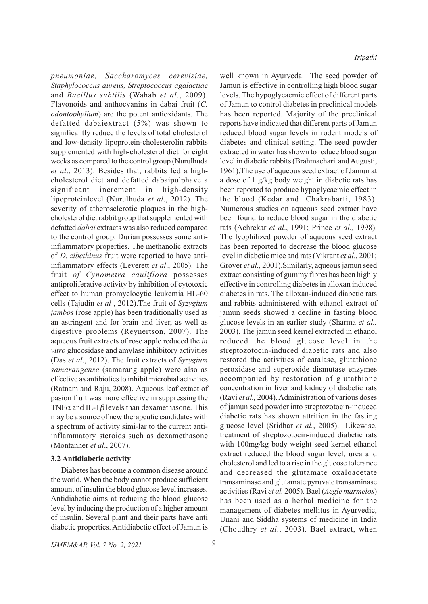*pneumoniae, Saccharomyces cerevisiae, Staphylococcus aureus, Streptococcus agalactiae* and *Bacillus subtilis* (Wahab *et al*., 2009). Flavonoids and anthocyanins in dabai fruit (*C. odontophyllum*) are the potent antioxidants. The defatted dabaiextract (5%) was shown to significantly reduce the levels of total cholesterol and low-density lipoprotein-cholesterolin rabbits supplemented with high-cholesterol diet for eight weeks as compared to the control group (Nurulhuda *et al*., 2013). Besides that, rabbits fed a highcholesterol diet and defatted dabaipulphave a significant increment in high-density lipoproteinlevel (Nurulhuda *et al*., 2012). The severity of atherosclerotic plaques in the highcholesterol diet rabbit group that supplemented with defatted *dabai* extracts was also reduced compared to the control group. Durian possesses some antiinflammatory properties. The methanolic extracts of *D. zibethinus* fruit were reported to have antiinflammatory effects (Leverett *et al*., 2005). The fruit *of Cynometra cauliflora* possesses antiproliferative activity by inhibition of cytotoxic effect to human promyelocytic leukemia HL-60 cells (Tajudin *et al* , 2012).The fruit of *Syzygium jambos* (rose apple) has been traditionally used as an astringent and for brain and liver, as well as digestive problems (Reynertson, 2007). The aqueous fruit extracts of rose apple reduced the *in vitro* glucosidase and amylase inhibitory activities (Das *et al*., 2012). The fruit extracts of *Syzygium samarangense* (samarang apple) were also as effective as antibiotics to inhibit microbial activities (Ratnam and Raju, 2008). Aqueous leaf extact of pasion fruit was more effective in suppressing the TNF $\alpha$  and IL-1 $\beta$  levels than dexamethasone. This may be a source of new therapeutic candidates with a spectrum of activity simi-lar to the current antiinflammatory steroids such as dexamethasone (Montanher *et al*., 2007).

#### **3.2 Antidiabetic activity**

Diabetes has become a common disease around the world. When the body cannot produce sufficient amount of insulin the blood glucose level increases. Antidiabetic aims at reducing the blood glucose level by inducing the production of a higher amount of insulin. Several plant and their parts have anti diabetic properties. Antidiabetic effect of Jamun is well known in Ayurveda. The seed powder of Jamun is effective in controlling high blood sugar levels. The hypoglycaemic effect of different parts of Jamun to control diabetes in preclinical models has been reported. Majority of the preclinical reports have indicated that different parts of Jamun reduced blood sugar levels in rodent models of diabetes and clinical setting. The seed powder extracted in water has shown to reduce blood sugar level in diabetic rabbits (Brahmachari and Augusti, 1961).The use of aqueous seed extract of Jamun at a dose of 1 g/kg body weight in diabetic rats has been reported to produce hypoglycaemic effect in the blood (Kedar and Chakrabarti, 1983). Numerous studies on aqueous seed extract have been found to reduce blood sugar in the diabetic rats (Achrekar *et al*., 1991; Prince *et al.,* 1998). The lyophilized powder of aqueous seed extract has been reported to decrease the blood glucose level in diabetic mice and rats (Vikrant *et al*., 2001; Grover *et al.,* 2001).Similarly, aqueous jamun seed extract consisting of gummy fibres has been highly effective in controlling diabetes in alloxan induced diabetes in rats. The alloxan-induced diabetic rats and rabbits administered with ethanol extract of jamun seeds showed a decline in fasting blood glucose levels in an earlier study (Sharma *et al.,* 2003). The jamun seed kernel extracted in ethanol reduced the blood glucose level in the streptozotocin-induced diabetic rats and also restored the activities of catalase, glutathione peroxidase and superoxide dismutase enzymes accompanied by restoration of glutathione concentration in liver and kidney of diabetic rats (Ravi *et al.,* 2004). Administration of various doses of jamun seed powder into streptozotocin-induced diabetic rats has shown attrition in the fasting glucose level (Sridhar *et al.*, 2005). Likewise, treatment of streptozotocin-induced diabetic rats with 100mg/kg body weight seed kernel ethanol extract reduced the blood sugar level, urea and cholesterol and led to a rise in the glucose tolerance and decreased the glutamate oxaloacetate transaminase and glutamate pyruvate transaminase activities (Ravi *et al.* 2005). Bael (*Aegle marmelos*) has been used as a herbal medicine for the management of diabetes mellitus in Ayurvedic, Unani and Siddha systems of medicine in India (Choudhry *et al*., 2003). Bael extract, when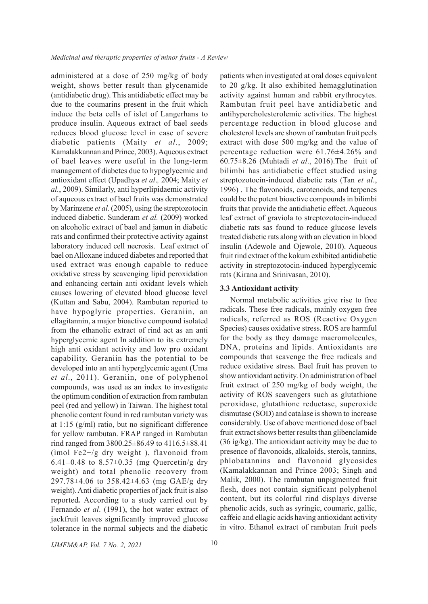administered at a dose of 250 mg/kg of body weight, shows better result than glycenamide (antidiabetic drug). This antidiabetic effect may be due to the coumarins present in the fruit which induce the beta cells of islet of Langerhans to produce insulin. Aqueous extract of bael seeds reduces blood glucose level in case of severe diabetic patients (Maity *et al*., 2009; Kamalakkannan and Prince, 2003). Aqueous extract of bael leaves were useful in the long-term management of diabetes due to hypoglycemic and antioxidant effect (Upadhya *et al*.*,* 2004; Maity *et al.*, 2009). Similarly, anti hyperlipidaemic activity of aqueous extract of bael fruits was demonstrated by Marinzene *et al.* (2005), using the streptozotocin induced diabetic. Sunderam *et al.* (2009) worked on alcoholic extract of bael and jamun in diabetic rats and confirmed their protective activity against laboratory induced cell necrosis. Leaf extract of bael on Alloxane induced diabetes and reported that used extract was enough capable to reduce oxidative stress by scavenging lipid peroxidation and enhancing certain anti oxidant levels which causes lowering of elevated blood glucose level (Kuttan and Sabu, 2004). Rambutan reported to have hypoglyric properties. Geraniin, an ellagitannin, a major bioactive compound isolated from the ethanolic extract of rind act as an anti hyperglycemic agent In addition to its extremely high anti oxidant activity and low pro oxidant capability. Geraniin has the potential to be developed into an anti hyperglycemic agent (Uma *et al*., 2011). Geraniin, one of polyphenol compounds, was used as an index to investigate the optimum condition of extraction from rambutan peel (red and yellow) in Taiwan. The highest total phenolic content found in red rambutan variety was at 1:15 (g/ml) ratio, but no significant difference for yellow rambutan. FRAP ranged in Rambutan rind ranged from 3800.25±86.49 to 4116.5±88.41 (ìmol Fe2+/g dry weight ), flavonoid from 6.41 $\pm$ 0.48 to 8.57 $\pm$ 0.35 (mg Quercetin/g dry weight) and total phenolic recovery from 297.78±4.06 to 358.42±4.63 (mg GAE/g dry weight). Anti diabetic properties of jack fruit is also reported*.* According to a study carried out by Fernando *et al*. (1991), the hot water extract of jackfruit leaves significantly improved glucose tolerance in the normal subjects and the diabetic

patients when investigated at oral doses equivalent to 20 g/kg. It also exhibited hemagglutination activity against human and rabbit erythrocytes. Rambutan fruit peel have antidiabetic and antihypercholesterolemic activities. The highest percentage reduction in blood glucose and cholesterol levels are shown of rambutan fruit peels extract with dose 500 mg/kg and the value of percentage reduction were 61.76±4.26% and 60.75±8.26 (Muhtadi *et al*., 2016).The fruit of bilimbi has antidiabetic effect studied using streptozotocin-induced diabetic rats (Tan *et al*., 1996) . The flavonoids, carotenoids, and terpenes could be the potent bioactive compounds in bilimbi fruits that provide the antidiabetic effect. Aqueous leaf extract of graviola to streptozotocin-induced diabetic rats sas found to reduce glucose levels treated diabetic rats along with an elevation in blood insulin (Adewole and Ojewole, 2010). Aqueous fruit rind extract of the kokum exhibited antidiabetic activity in streptozotocin-induced hyperglycemic rats (Kirana and Srinivasan, 2010).

## **3.3 Antioxidant activity**

Normal metabolic activities give rise to free radicals. These free radicals, mainly oxygen free radicals, referred as ROS (Reactive Oxygen Species) causes oxidative stress. ROS are harmful for the body as they damage macromolecules, DNA, proteins and lipids. Antioxidants are compounds that scavenge the free radicals and reduce oxidative stress. Bael fruit has proven to show antioxidant activity. On administration of bael fruit extract of 250 mg/kg of body weight, the activity of ROS scavengers such as glutathione peroxidase, glutathione reductase, superoxide dismutase (SOD) and catalase is shown to increase considerably. Use of above mentioned dose of bael fruit extract shows better results than glibenclamide (36 ìg/kg). The antioxidant activity may be due to presence of flavonoids, alkaloids, sterols, tannins, phlobatannins and flavonoid glycosides (Kamalakkannan and Prince 2003; Singh and Malik, 2000). The rambutan unpigmented fruit flesh, does not contain significant polyphenol content, but its colorful rind displays diverse phenolic acids, such as syringic, coumaric, gallic, caffeic and ellagic acids having antioxidant activity in vitro. Ethanol extract of rambutan fruit peels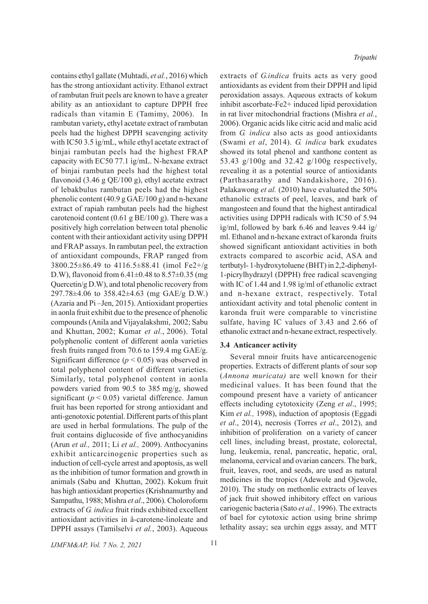contains ethyl gallate (Muhtadi, *et al.*, 2016) which has the strong antioxidant activity. Ethanol extract of rambutan fruit peels are known to have a greater ability as an antioxidant to capture DPPH free radicals than vitamin E (Tamimy, 2006). In rambutan variety**,** ethyl acetate extract of rambutan peels had the highest DPPH scavenging activity with IC50 3.5 ìg/mL, while ethyl acetate extract of binjai rambutan peels had the highest FRAP capacity with EC50 77.1 ìg/mL. N-hexane extract of binjai rambutan peels had the highest total flavonoid (3.46 g QE/100 g), ethyl acetate extract of lebakbulus rambutan peels had the highest phenolic content (40.9 g GAE/100 g) and n-hexane extract of rapiah rambutan peels had the highest carotenoid content  $(0.61 \text{ g BE}/100 \text{ g})$ . There was a positively high correlation between total phenolic content with their antioxidant activity using DPPH and FRAP assays. In rambutan peel, the extraction of antioxidant compounds, FRAP ranged from 3800.25±86.49 to 4116.5±88.41 (ìmol Fe2+/g D.W), flavonoid from  $6.41 \pm 0.48$  to  $8.57 \pm 0.35$  (mg Quercetin/g D.W), and total phenolic recovery from 297.78±4.06 to 358.42±4.63 (mg GAE/g D.W.) (Azaria and Pi –Jen, 2015). Antioxidant properties in aonla fruit exhibit due to the presence of phenolic compounds (Anila and Vijayalakshmi, 2002; Sabu and Khuttan, 2002; Kumar *et al*., 2006). Total polyphenolic content of different aonla varieties fresh fruits ranged from 70.6 to 159.4 mg GAE/g. Significant difference  $(p < 0.05)$  was observed in total polyphenol content of different varieties. Similarly, total polyphenol content in aonla powders varied from 90.5 to 385 mg/g, showed significant ( $p < 0.05$ ) varietal difference. Jamun fruit has been reported for strong antioxidant and anti-genotoxic potential. Different parts of this plant are used in herbal formulations. The pulp of the fruit contains diglucoside of five anthocyanidins (Arun *et al.,* 2011; Li *et al.,* 2009). Anthocyanins exhibit anticarcinogenic properties such as induction of cell-cycle arrest and apoptosis, as well as the inhibition of tumor formation and growth in animals (Sabu and Khuttan, 2002). Kokum fruit has high antioxidant properties (Krishnamurthy and Sampathu, 1988; Mishra *et al*., 2006). Choloroform extracts of *G. indica* fruit rinds exhibited excellent antioxidant activities in â-carotene-linoleate and DPPH assays (Tamilselvi *et al.*, 2003). Aqueous

extracts of *G.indica* fruits acts as very good antioxidants as evident from their DPPH and lipid peroxidation assays. Aqueous extracts of kokum inhibit ascorbate-Fe2+ induced lipid peroxidation in rat liver mitochondrial fractions (Mishra *et al.*, 2006). Organic acids like citric acid and malic acid from *G. indica* also acts as good antioxidants (Swami *et al*, 2014). *G. indica* bark exudates showed its total phenol and xanthone content as 53.43 g/100g and 32.42 g/100g respectively, revealing it as a potential source of antioxidants (Parthasarathy and Nandakishore, 2016). Palakawong *et al.* (2010) have evaluated the 50% ethanolic extracts of peel, leaves, and bark of mangosteen and found that the highest antiradical activities using DPPH radicals with IC50 of 5.94 ìg/ml, followed by bark 6.46 and leaves 9.44 ìg/ ml. Ethanol and n-hexane extract of karonda fruits showed significant antioxidant activities in both extracts compared to ascorbic acid, ASA and tertbutyl- 1-hydroxytoluene (BHT) in 2,2-diphenyl-1-picrylhydrazyl (DPPH) free radical scavenging with IC of 1.44 and 1.98 ìg/ml of ethanolic extract and n-hexane extract, respectively. Total antioxidant activity and total phenolic content in karonda fruit were comparable to vincristine sulfate, having IC values of 3.43 and 2.66 of ethanolic extract and n-hexane extract, respectively.

## **3.4 Anticancer activity**

Several mnoir fruits have anticarcenogenic properties. Extracts of different plants of sour sop (*Annona muricata)* are well known for their medicinal values. It has been found that the compound present have a variety of anticancer effects including cytotoxicity (Zeng *et al*., 1995; Kim *et al.,* 1998), induction of apoptosis (Eggadi *et al*., 2014), necrosis (Torres *et al*., 2012), and inhibition of proliferation on a variety of cancer cell lines, including breast, prostate, colorectal, lung, leukemia, renal, pancreatic, hepatic, oral, melanoma, cervical and ovarian cancers. The bark, fruit, leaves, root, and seeds, are used as natural medicines in the tropics (Adewole and Ojewole, 2010). The study on methonlic extracts of leaves of jack fruit showed inhibitory effect on various cariogenic bacteria (Sato *et al.,* 1996). The extracts of bael for cytotoxic action using brine shrimp lethality assay; sea urchin eggs assay, and MTT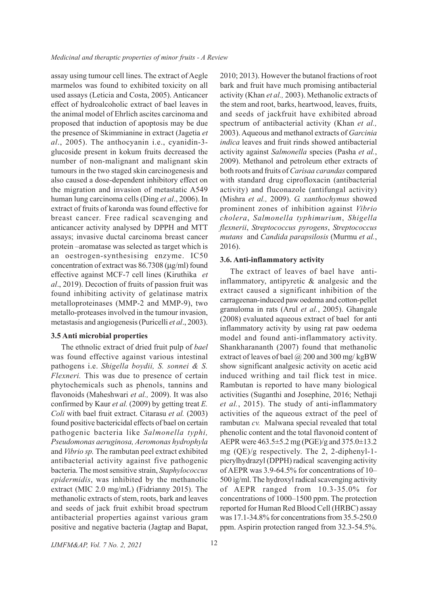assay using tumour cell lines. The extract of Aegle marmelos was found to exhibited toxicity on all used assays (Leticia and Costa, 2005). Anticancer effect of hydroalcoholic extract of bael leaves in the animal model of Ehrlich ascites carcinoma and proposed that induction of apoptosis may be due the presence of Skimmianine in extract (Jagetia *et al*., 2005). The anthocyanin i.e., cyanidin-3 glucoside present in kokum fruits decreased the number of non-malignant and malignant skin tumours in the two staged skin carcinogenesis and also caused a dose-dependent inhibitory effect on the migration and invasion of metastatic A549 human lung carcinoma cells (Ding *et al*., 2006). In extract of fruits of karonda was found effective for breast cancer. Free radical scavenging and anticancer activity analysed by DPPH and MTT assays; invasive ductal carcinoma breast cancer protein –aromatase was selected as target which is an oestrogen-synthesising enzyme. IC50 concentration of extract was  $86.7308 \, (\mu g/ml)$  found effective against MCF-7 cell lines (Kiruthika *et al*., 2019). Decoction of fruits of passion fruit was found inhibiting activity of gelatinase matrix metalloproteinases (MMP-2 and MMP-9), two metallo-proteases involved in the tumour invasion, metastasis and angiogenesis (Puricelli *et al*., 2003).

## **3.5 Anti microbial properties**

The ethnolic extract of dried fruit pulp of *bael* was found effective against various intestinal pathogens i.e. *Shigella boydii, S. sonnei & S. Flexneri.* This was due to presence of certain phytochemicals such as phenols, tannins and flavonoids (Maheshwari *et al.,* 2009). It was also confirmed by Kaur *et al.* (2009) by getting treat *E. Coli* with bael fruit extract. Citarasu *et al.* (2003) found positive bactericidal effects of bael on certain pathogenic bacteria like *Salmonella typhi, Pseudomonas aeruginosa, Aeromonas hydrophyla* and *Vibrio sp.* The rambutan peel extract exhibited antibacterial activity against five pathogenic bacteria. The most sensitive strain, *Staphylococcus epidermidis*, was inhibited by the methanolic extract (MIC 2.0 mg/mL) (Fidrianny 2015). The methanolic extracts of stem, roots, bark and leaves and seeds of jack fruit exhibit broad spectrum antibacterial properties against various gram positive and negative bacteria (Jagtap and Bapat,

2010; 2013). However the butanol fractions of root bark and fruit have much promising antibacterial activity (Khan *et al.,* 2003). Methanolic extracts of the stem and root, barks, heartwood, leaves, fruits, and seeds of jackfruit have exhibited abroad spectrum of antibacterial activity (Khan *et al.,* 2003). Aqueous and methanol extracts of *Garcinia indica* leaves and fruit rinds showed antibacterial activity against *Salmonella* species (Pasha *et al.*, 2009). Methanol and petroleum ether extracts of both roots and fruits of *Carisaa carandas* compared with standard drug ciprofloxacin (antibacterial activity) and fluconazole (antifungal activity) (Mishra *et al.,* 2009). *G. xanthochymus* showed prominent zones of inhibition against *Vibrio cholera*, *Salmonella typhimurium*, *Shigella flexnerii*, *Streptococcus pyrogens*, *Streptococcus mutans* and *Candida parapsilosis* (Murmu *et al.*, 2016).

#### **3.6. Anti-inflammatory activity**

The extract of leaves of bael have antiinflammatory, antipyretic & analgesic and the extract caused a significant inhibition of the carrageenan-induced paw oedema and cotton-pellet granuloma in rats (Arul *et al.*, 2005). Ghangale (2008) evaluated aqueous extract of bael for anti inflammatory activity by using rat paw oedema model and found anti-inflammatory activity. Shankharananth (2007) found that methanolic extract of leaves of bael @ 200 and 300 mg/ kgBW show significant analgesic activity on acetic acid induced writhing and tail flick test in mice. Rambutan is reported to have many biological activities (Suganthi and Josephine, 2016; Nethaji *et al.*, 2015). The study of anti-inflammatory activities of the aqueous extract of the peel of rambutan *cv.* Malwana special revealed that total phenolic content and the total flavonoid content of AEPR were 463.5±5.2 mg (PGE)/g and 375.0±13.2 mg (QE)/g respectively. The 2, 2-diphenyl-1 picrylhydrazyl (DPPH) radical scavenging activity of AEPR was 3.9-64.5% for concentrations of 10– 500 ìg/ml. The hydroxyl radical scavenging activity of AEPR ranged from 10.3-35.0% for concentrations of 1000–1500 ppm. The protection reported for Human Red Blood Cell (HRBC) assay was 17.1-34.8% for concentrations from 35.5-250.0 ppm. Aspirin protection ranged from 32.3-54.5%.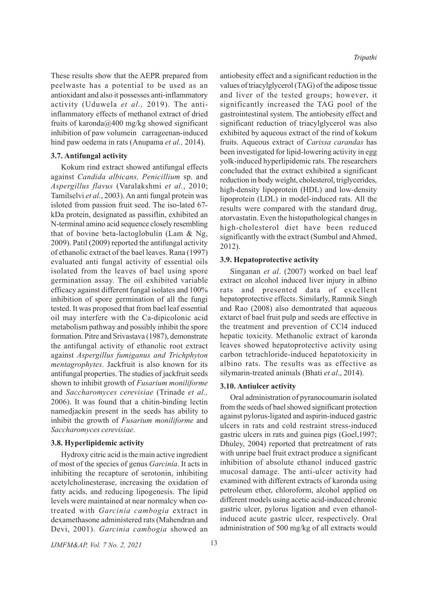These results show that the AEPR prepared from peelwaste has a potential to be used as an antioxidant and also it possesses anti-inflammatory activity (Uduwela *et al.,* 2019). The antiinflammatory effects of methanol extract of dried fruits of karonda@400 mg/kg showed significant inhibition of paw volumein carrageenan-induced hind paw oedema in rats (Anupama *et al.,* 2014).

## **3.7. Antifungal activity**

Kokum rind extract showed antifungal effects against *Candida albicans, Penicillium* sp. and *Aspergillus flavus* (Varalakshmi *et al.*, 2010; Tamilselvi *et al.*, 2003). An anti fungal protein was isloted from passion fruit seed. The iso-lated 67 kDa protein, designated as passiflin, exhibited an N-terminal amino acid sequence closely resembling that of bovine beta-lactoglobulin (Lam & Ng, 2009). Patil (2009) reported the antifungal activity of ethanolic extract of the bael leaves. Rana (1997) evaluated anti fungal activity of essential oils isolated from the leaves of bael using spore germination assay. The oil exhibited variable efficacy against different fungal isolates and 100% inhibition of spore germination of all the fungi tested. It was proposed that from bael leaf essential oil may interfere with the Ca-dipicolonic acid metabolism pathway and possibly inhibit the spore formation. Pitre and Srivastava (1987), demonstrate the antifungal activity of ethanolic root extract against *Aspergillus fumiganus and Trichphyton mentagrophytes*. Jackfruit is also known for its antifungal properties. The studies of jackfruit seeds shown to inhibit growth of *Fusarium moniliforme* and *Saccharomyces cerevisiae* (Trinade *et al.,* 2006). It was found that a chitin-binding lectin namedjackin present in the seeds has ability to inhibit the growth of *Fusarium moniliforme* and *Saccharomyces cerevisiae*.

## **3.8. Hyperlipidemic activity**

Hydroxy citric acid is the main active ingredient of most of the species of genus *Garcinia*. It acts in inhibiting the recapture of serotonin, inhibiting acetylcholinesterase, increasing the oxidation of fatty acids, and reducing lipogenesis. The lipid levels were maintained at near normalcy when cotreated with *Garcinia cambogia* extract in dexamethasone administered rats (Mahendran and Devi, 2001). *Garcinia cambogia* showed an

antiobesity effect and a significant reduction in the values of triacylglycerol (TAG) of the adipose tissue and liver of the tested groups; however, it significantly increased the TAG pool of the gastrointestinal system. The antiobesity effect and significant reduction of triacylglycerol was also exhibited by aqueous extract of the rind of kokum fruits. Aqueous extract of *Carissa carandas* has been investigated for lipid-lowering activity in egg yolk-induced hyperlipidemic rats. The researchers concluded that the extract exhibited a significant reduction in body weight, cholesterol, triglycerides, high-density lipoprotein (HDL) and low-density lipoprotein (LDL) in model-induced rats. All the results were compared with the standard drug, atorvastatin. Even the histopathological changes in high-cholesterol diet have been reduced significantly with the extract (Sumbul and Ahmed, 2012).

#### **3.9. Hepatoprotective activity**

Singanan *et al*. (2007) worked on bael leaf extract on alcohol induced liver injury in albino rats and presented data of excellent hepatoprotective effects. Similarly, Ramnik Singh and Rao (2008) also demontrated that aqueous extarct of bael fruit pulp and seeds are effective in the treatment and prevention of CCl4 induced hepatic toxicity. Methanolic extract of karonda leaves showed hepatoprotective activity using carbon tetrachloride-induced hepatotoxicity in albino rats. The results was as effective as silymarin-treated animals (Bhati *et al*., 2014).

#### **3.10. Antiulcer activity**

Oral administration of pyranocoumarin isolated from the seeds of bael showed significant protection against pylorus-ligated and aspirin-induced gastric ulcers in rats and cold restraint stress-induced gastric ulcers in rats and guinea pigs (Goel,1997; Dhuley, 2004) reported that pretreatment of rats with unripe bael fruit extract produce a significant inhibition of absolute ethanol induced gastric mucosal damage. The anti-ulcer activity had examined with different extracts of karonda using petroleum ether, chloroform, alcohol applied on different models using acetic acid-induced chronic gastric ulcer, pylorus ligation and even ethanolinduced acute gastric ulcer, respectively. Oral administration of 500 mg/kg of all extracts would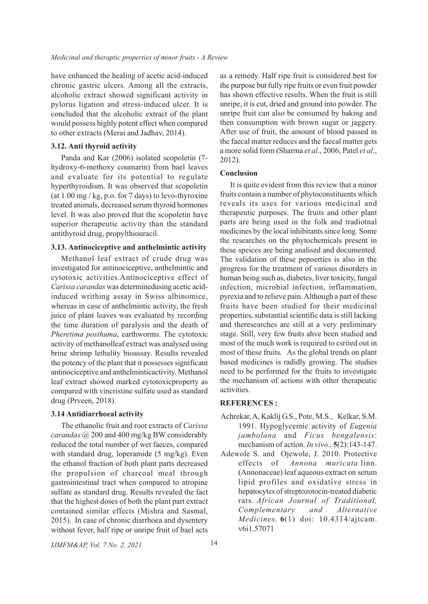have enhanced the healing of acetic acid-induced chronic gastric ulcers. Among all the extracts, alcoholic extract showed significant activity in pylorus ligation and stress-induced ulcer. It is concluded that the alcoholic extract of the plant would possess highly potent effect when compared to other extracts (Merai and Jadhav, 2014).

## **3.12. Anti thyroid activity**

Panda and Kar (2006) isolated scopoletin (7 hydroxy-6-methoxy coumarin) from bael leaves and evaluate for its potential to regulate hyperthyroidism. It was observed that scopoletin (at  $1.00$  mg / kg, p.o. for 7 days) to levo-thyroxine treated animals, decreased serum thyroid hormones level. It was also proved that the scopoletin have superior therapeutic activity than the standard antithyroid drug, propylthiouracil.

## **3.13. Antinociceptive and anthelmintic activity**

Methanol leaf extract of crude drug was investigated for antinociceptive, anthelmintic and cytotoxic activities.Antinociceptive effect of *Carissa carandas* was determinedusing acetic acidinduced writhing assay in Swiss albinomice, whereas in case of anthelmintic activity, the fresh juice of plant leaves was evaluated by recording the time duration of paralysis and the death of *Pheretima posthuma*, earthworms. The cytotoxic activity of methanolleaf extract was analysed using brine shrimp lethality bioassay. Results revealed the potency of the plant that it possesses significant antinociceptive and anthelminticactivity. Methanol leaf extract showed marked cytotoxicproperty as compared with vincristine sulfate used as standard drug (Prveen, 2018).

## **3.14 Antidiarrhoeal activity**

The ethanolic fruit and root extracts of *Carissa carandas* @ 200 and 400 mg/kg BW considerably reduced the total number of wet faeces, compared with standard drug, loperamide (5 mg/kg). Even the ethanol fraction of both plant parts decreased the propulsion of charcoal meal through gastrointestinal tract when compared to atropine sulfate as standard drug. Results revealed the fact that the highest doses of both the plant part extract contained similar effects (Mishra and Sasmal, 2015). In case of chronic diarrhoea and dysentery without fever, half ripe or unripe fruit of bael acts

as a remedy. Half ripe fruit is considered best for the purpose but fully ripe fruits or even fruit powder has shown effective results. When the fruit is still unripe, it is cut, dried and ground into powder. The unripe fruit can also be consumed by baking and then consumption with brown sugar or jaggery. After use of fruit, the amount of blood passed in the faecal matter reduces and the faecal matter gets a more solid form (Sharma *et al*., 2006; Patel *et al*., 2012).

## **Conclusion**

It is quite evident from this review that a minor fruits contain a number of phytoconstituents which reveals its uses for various medicinal and therapeutic purposes. The fruits and other plant parts are being used in the folk and tradiotnal medicines by the local inhibitants since long. Some the researches on the phytochemicals present in these speices are being analised and documented. The validation of these pepoerties is also in the progress for the treatment of various disorders in human being such as, diabetes, liver toxicity, fungal infection, microbial infection, inflammation, pyrexia and to relieve pain. Although a part of these fruits have been studied for their medicinal properties, substantial scientific data is still lacking and theresearches are still at a very preliminary stage. Still, very few fruits ahve been studied and most of the much work is required to csriied out in most of these fruits. As the global trends on plant based medicines is radidly growing. The studies need to be performed for the fruits to investigate the mechanism of actions with other therapeutic activities.

## **REFERENCES :**

- Achrekar, A, Kaklij G.S., Pote, M.S., Kelkar, S.M. 1991. Hypoglycemic activity of *Eugenia jambolana* and *Ficus bengalensis*: mechanism of action. *In vivo.,* **5**(2):143-147.
- Adewole S. and Ojewole, J. 2010. Protective effects of *Annona muricata* linn. (Annonaceae) leaf aqueous extract on serum lipid profiles and oxidative stress in hepatocytes of streptozotocin-treated diabetic rats. *African Journal of Traditional, Complementary and Alternative Medicines,* **6**(1) doi: 10.4314/ajtcam. v6i1.57071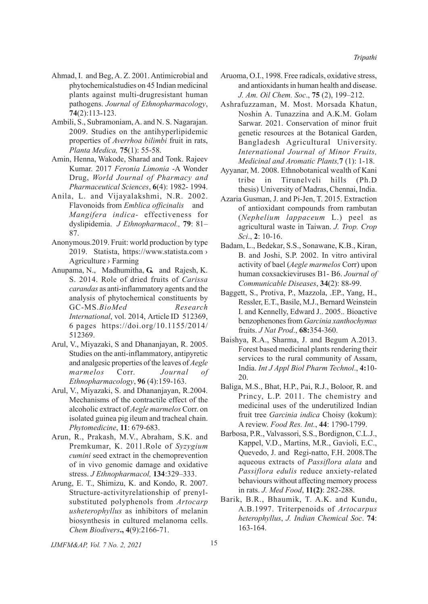- Ahmad, I. and Beg, A. Z. 2001. Antimicrobial and phytochemicalstudies on 45 Indian medicinal plants against multi-drugresistant human pathogens. *Journal of Ethnopharmacology*, **74**(2):113-123.
- Ambili, S., Subramoniam, A. and N. S. Nagarajan. 2009. Studies on the antihyperlipidemic properties of *Averrhoa bilimbi* fruit in rats, *Planta Medica,* **75**(1): 55-58.
- Amin, Henna, Wakode, Sharad and Tonk. Rajeev Kumar. 2017 *Feronia Limonia* -A Wonder Drug, *World Journal of Pharmacy and Pharmaceutical Sciences*, **6**(4): 1982- 1994.
- Anila, L. and Vijayalakshmi, N.R. 2002. Flavonoids from *Emblica officinalis* and *Mangifera indica*- effectiveness for dyslipidemia. *J Ethnopharmacol.,* **79**: 81– 87.
- Anonymous.2019. Fruit: world production by type 2019. Statista, https://www.statista.com › Agriculture › Farming
- Anupama, N., Madhumitha, **G.** and Rajesh, K. S. 2014. Role of dried fruits of *Carissa carandas* as anti-inflammatory agents and the analysis of phytochemical constituents by GC-MS.*BioMed Research International*, vol. 2014, Article ID 512369, 6 pages https://doi.org/10.1155/2014/ 512369.
- Arul, V., Miyazaki, S and Dhananjayan, R. 2005. Studies on the anti-inflammatory, antipyretic and analgesic properties of the leaves of *Aegle marmelos* Corr. *Journal of Ethnopharmacology*, **96** (4):159-163.
- Arul, V., Miyazaki, S. and Dhananjayan, R.2004. Mechanisms of the contractile effect of the alcoholic extract of *Aegle marmelos* Corr. on isolated guinea pig ileum and tracheal chain. *Phytomedicine*, **11**: 679-683.
- Arun, R., Prakash, M.V., Abraham, S.K. and Premkumar, K. 2011.Role of *Syzygium cumini* seed extract in the chemoprevention of in vivo genomic damage and oxidative stress. *J Ethnopharmacol,* **134**:329–333.
- Arung, E. T., Shimizu, K. and Kondo, R. 2007. Structure-activityrelationship of prenylsubstituted polyphenols from *Artocarp usheterophyllus* as inhibitors of melanin biosynthesis in cultured melanoma cells. *Chem Biodivers***., 4**(9):2166-71.
- Aruoma, O.I., 1998. Free radicals, oxidative stress, and antioxidants in human health and disease. *J. Am. Oil Chem. Soc*., **75** (2), 199–212.
- Ashrafuzzaman, M. Most. Morsada Khatun, Noshin A. Tunazzina and A.K.M. Golam Sarwar. 2021. Conservation of minor fruit genetic resources at the Botanical Garden, Bangladesh Agricultural University. *International Journal of Minor Fruits, Medicinal and Aromatic Plants,***7** (1): 1-18.
- Ayyanar, M. 2008. Ethnobotanical wealth of Kani tribe in Tirunelveli hills (Ph.D thesis) University of Madras, Chennai, India.
- Azaria Gusman, J. and Pi-Jen, T. 2015. Extraction of antioxidant compounds from rambutan (*Nephelium lappaceum* L.) peel as agricultural waste in Taiwan. *J. Trop. Crop Sci*., **2**: 10-16.
- Badam, L., Bedekar, S.S., Sonawane, K.B., Kiran, B. and Joshi, S.P. 2002. In vitro antiviral activity of bael (*Aegle marmelos* Corr) upon human coxsackieviruses B1- B6. *Journal of Communicable Diseases*, **34**(2): 88-99.
- Baggett, S., Protiva, P., Mazzola, .EP., Yang, H., Ressler, E.T., Basile, M.J., Bernard Weinstein I. and Kennelly, Edward J.. 2005.*.* Bioactive benzophenones from *Garcinia xanthochymus* fruits. *J Nat Prod*., **68:**354-360.
- Baishya, R.A., Sharma, J. and Begum A.2013. Forest based medicinal plants rendering their services to the rural community of Assam, India. *Int J Appl Biol Pharm Technol*., **4:**10- 20.
- Baliga, M.S., Bhat, H.P., Pai, R.J., Boloor, R. and Princy, L.P. 2011. The chemistry and medicinal uses of the underutilized Indian fruit tree *Garcinia indica* Choisy (kokum): A review. *Food Res. Int.*, **44**: 1790-1799.
- Barbosa, P.R., Valvassori, S.S., Bordignon, C.L.J., Kappel, V.D., Martins, M.R., Gavioli, E.C., Quevedo, J. and Regi-natto, F.H. 2008.The aqueous extracts of *Passiflora alata* and *Passiflora edulis* reduce anxiety-related behaviours without affecting memory process in rats. *J. Med Food*, **11(2)**: 282-288.
- Barik, B.R., Bhaumik, T. A.K. and Kundu, A.B.1997. Triterpenoids of *Artocarpus heterophyllus*, *J. Indian Chemical Soc*. **74**: 163-164.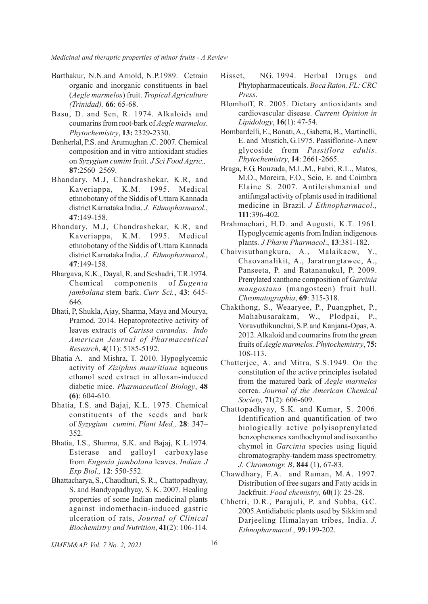- Barthakur, N.N.and Arnold, N.P.1989. Cetrain organic and inorganic constituents in bael (*Aegle marmelos*) fruit. *Tropical Agriculture (Trinidad),* **66**: 65-68.
- Basu, D. and Sen, R. 1974. Alkaloids and coumarins from root-bark of *Aegle marmelos*. *Phytochemistry*, **13:** 2329-2330.
- Benherlal, P.S. and Arumughan ,C. 2007. Chemical composition and in vitro antioxidant studies on *Syzygium cumini* fruit. *J Sci Food Agric.,*  **87**:2560–2569.
- Bhandary, M.J, Chandrashekar, K.R, and Kaveriappa, K.M. 1995. Medical ethnobotany of the Siddis of Uttara Kannada district Karnataka India. *J. Ethnopharmacol.*, **47**:149-158.
- Bhandary, M.J, Chandrashekar, K.R, and Kaveriappa, K.M. 1995. Medical ethnobotany of the Siddis of Uttara Kannada district Karnataka India. *J. Ethnopharmacol.*, **47**:149-158.
- Bhargava, K.K., Dayal, R. and Seshadri, T.R.1974. Chemical components of *Eugenia jambolana* stem bark. *Curr Sci.*, **43**: 645- 646.
- Bhati, P, Shukla, Ajay, Sharma, Maya and Mourya, Pramod. 2014. Hepatoprotective activity of leaves extracts of *Carissa carandas. Indo American Journal of Pharmaceutical Research*, **4**(11): 5185-5192.
- Bhatia A. and Mishra, T. 2010. Hypoglycemic activity of *Ziziphus mauritiana* aqueous ethanol seed extract in alloxan-induced diabetic mice. *Pharmaceutical Biology*, **48 (6)**: 604-610.
- Bhatia, I.S. and Bajaj, K.L. 1975. Chemical constituents of the seeds and bark of *Syzygium cumini*. *Plant Med.,* **28**: 347– 352.
- Bhatia, I.S., Sharma, S.K. and Bajaj, K.L.1974. Esterase and galloyl carboxylase from *Eugenia jambolana* leaves. *Indian J Exp Biol.,* **12**: 550-552.
- Bhattacharya, S., Chaudhuri, S. R., Chattopadhyay, S. and Bandyopadhyay, S. K. 2007. Healing properties of some Indian medicinal plants against indomethacin-induced gastric ulceration of rats, *Journal of Clinical Biochemistry and Nutrition*, **41**(2): 106-114.
- Bisset, NG. 1994. Herbal Drugs and Phytopharmaceuticals. *Boca Raton, FL: CRC Press*.
- Blomhoff, R. 2005. Dietary antioxidants and cardiovascular disease. *Current Opinion in Lipidology*, **16**(1): 47-54.
- Bombardelli, E., Bonati, A., Gabetta, B., Martinelli, E. and Mustich, G.1975. Passiflorine- A new glycoside from *Passiflora edulis*. *Phytochemistry*, **14**: 2661-2665.
- Braga, F.G, Bouzada, M.L.M., Fabri, R.L., Matos, M.O., Moreira, F.O., Scio, E. and Coimbra Elaine S. 2007. Antileishmanial and antifungal activity of plants used in traditional medicine in Brazil. *J Ethnopharmacol.,* **111**:396-402.
- Brahmachari, H.D. and Augusti, K.T. 1961. Hypoglycemic agents from Indian indigenous plants. *J Pharm Pharmacol*., **13**:381-182.
- Chaivisuthangkura, A., Malaikaew, Y., Chaovanalikit, A., Jaratrungtawee, A., Panseeta, P. and Ratananukul, P. 2009. Prenylated xanthone composition of *Garcinia mangostana* (mangosteen) fruit hull. *Chromatographia*, **69**: 315-318.
- Chakthong, S., Weaaryee, P., Puangphet, P., Mahabusarakam, W., Plodpai, P., Voravuthikunchai, S.P. and Kanjana-Opas, A. 2012. Alkaloid and coumarins from the green fruits of *Aegle marmelos. Phytochemistry*, **75:** 108-113.
- Chatterjee, A. and Mitra, S.S.1949. On the constitution of the active principles isolated from the matured bark of *Aegle marmelos* correa. *Journal of the American Chemical Society,* **71**(2): 606-609.
- Chattopadhyay, S.K. and Kumar, S. 2006. Identification and quantification of two biologically active polyisoprenylated benzophenones xanthochymol and isoxantho chymol in *Garcinia* species using liquid chromatography-tandem mass spectrometry. *J. Chromatogr. B*, **844** (1), 67-83.
- Chawdhary, F.A. and Raman, M.A. 1997. Distribution of free sugars and Fatty acids in Jackfruit. *Food chemistry,* **60**(1): 25-28.
- Chhetri, D.R., Parajuli, P. and Subba, G.C. 2005.Antidiabetic plants used by Sikkim and Darjeeling Himalayan tribes, India. *J. Ethnopharmacol.,* **99**:199-202.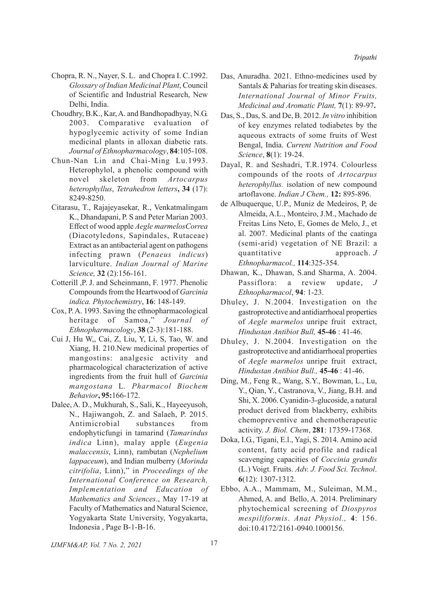- Chopra, R. N., Nayer, S. L. and Chopra I. C.1992. *Glossary of Indian Medicinal Plant*, Council of Scientific and Industrial Research, New Delhi, India.
- Choudhry, B.K., Kar, A. and Bandhopadhyay, N.G. 2003. Comparative evaluation of hypoglycemic activity of some Indian medicinal plants in alloxan diabetic rats. *Journal of Ethnopharmacology*, **84**:105-108.
- Chun-Nan Lin and Chai-Ming Lu.1993. Heterophylol, a phenolic compound with novel skeleton from *Artocarpus heterophyllus*, *Tetrahedron letters***, 34** (17): 8249-8250.
- Citarasu, T., Rajajeyasekar, R., Venkatmalingam K., Dhandapani, P. S and Peter Marian 2003. Effect of wood apple *Aegle marmelosCorrea* (Diacotyledons, Sapindales, Rutaceae) Extract as an antibacterial agent on pathogens infecting prawn (*Penaeus indicus*) larviculture. *Indian Journal of Marine Science,* **32** (2):156-161.
- Cotterill ,P. J. and Scheinmann, F. 1977. Phenolic Compounds from the Heartwood of *Garcinia indica. Phytochemistry*, **16**: 148-149.
- Cox, P. A. 1993. Saving the ethnopharmacological heritage of Samoa," *Journal of Ethnopharmacology*, **38** (2-3):181-188.
- Cui J, Hu W,, Cai, Z, Liu, Y, Li, S, Tao, W. and Xiang, H. 210.New medicinal properties of mangostins: analgesic activity and pharmacological characterization of active ingredients from the fruit hull of *Garcinia mangostana* L*. Pharmacol Biochem Behavior***, 95:**166-172.
- Dalee, A. D., Mukhurah, S., Sali, K., Hayeeyusoh, N., Hajiwangoh, Z. and Salaeh, P. 2015. Antimicrobial substances from endophyticfungi in tamarind (*Tamarindus indica* Linn), malay apple (*Eugenia malaccensis*, Linn), rambutan (*Nephelium lappaceum*), and Indian mulberry (*Morinda citrifolia*, Linn)," in *Proceedings of the International Conference on Research, Implementation and Education of Mathematics and Sciences*., May 17-19 at Faculty of Mathematics and Natural Science, Yogyakarta State University, Yogyakarta, Indonesia , Page B-1-B-16.
- Das, Anuradha. 2021. Ethno-medicines used by Santals & Paharias for treating skin diseases. *International Journal of Minor Fruits, Medicinal and Aromatic Plant,* **7**(1): 89-97**.**
- Das, S., Das, S. and De, B. 2012. *In vitro* inhibition of key enzymes related todiabetes by the aqueous extracts of some fruits of West Bengal, India. *Current Nutrition and Food Science*, **8**(1): 19-24.
- Dayal, R. and Seshadri, T.R.1974. Colourless compounds of the roots of *Artocarpus heterophyllus.* isolation of new compound artoflavone. *Indian J Chem.,* **12:** 895-896.
- de Albuquerque, U.P., Muniz de Medeiros, P, de Almeida, A.L., Monteiro, J.M., Machado de Freitas Lins Neto, E, Gomes de Melo, J., et al. 2007. Medicinal plants of the caatinga (semi-arid) vegetation of NE Brazil: a quantitative approach. *J Ethnopharmacol.,* **114**:325-354.
- Dhawan, K., Dhawan, S.and Sharma, A. 2004. Passiflora: a review update, *J Ethnopharmacol*, **94**: 1-23.
- Dhuley, J. N.2004. Investigation on the gastroprotective and antidiarrhoeal properties of *Aegle marmelos* unripe fruit extract, *Hindustan Antibiot Bull,* **45-46** : 41-46.
- Dhuley, J. N.2004. Investigation on the gastroprotective and antidiarrhoeal properties of *Aegle marmelos* unripe fruit extract, *Hindustan Antibiot Bull.,* **45-46** : 41-46.
- Ding, M., Feng R., Wang, S.Y., Bowman, L., Lu, Y., Qian, Y., Castranova, V., Jiang, B.H. and Shi, X. 2006. Cyanidin-3-glucoside, a natural product derived from blackberry, exhibits chemopreventive and chemotherapeutic activity. *J. Biol. Chem*, **281**: 17359-17368.
- Doka, I.G., Tigani, E.l., Yagi, S. 2014. Amino acid content, fatty acid profile and radical scavenging capacities of *Coccinia grandis* (L.) Voigt. Fruits. *Adv. J. Food Sci. Technol*. **6**(12): 1307-1312.
- Ebbo, A.A., Mammam, M., Suleiman, M.M., Ahmed, A. and Bello, A. 2014. Preliminary phytochemical screening of *Diospyros mespiliformis*. *Anat Physiol.,* **4**: 156. doi:10.4172/2161-0940.1000156.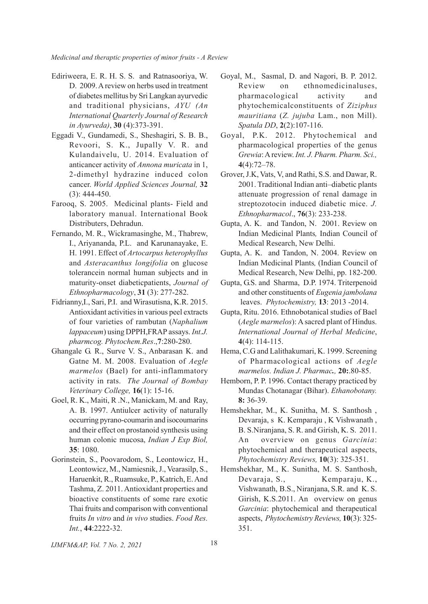- Ediriweera, E. R. H. S. S. and Ratnasooriya, W. D. 2009. A review on herbs used in treatment of diabetes mellitus by Sri Langkan ayurvedic and traditional physicians, *AYU (An International Quarterly Journal of Research in Ayurveda)*, **30** (4):373-391.
- Eggadi V., Gundamedi, S., Sheshagiri, S. B. B., Revoori, S. K., Jupally V. R. and Kulandaivelu, U. 2014. Evaluation of anticancer activity of *Annona muricata* in 1, 2-dimethyl hydrazine induced colon cancer. *World Applied Sciences Journal,* **32** (3): 444-450.
- Farooq, S. 2005. Medicinal plants- Field and laboratory manual. International Book Distributers, Dehradun.
- Fernando, M. R., Wickramasinghe, M., Thabrew, I., Ariyananda, P.L. and Karunanayake, E. H. 1991. Effect of *Artocarpus heterophyllus* and *Asteracanthus longifolia* on glucose tolerancein normal human subjects and in maturity-onset diabeticpatients, *Journal of Ethnopharmacology*, **31** (3): 277-282.
- Fidrianny,I., Sari, P.I. and Wirasutisna, K.R. 2015. Antioxidant activities in various peel extracts of four varieties of rambutan (*Naphalium lappaceum*) using DPPH,FRAP assays. *Int.J. pharmcog. Phytochem.Res*.,**7**:280-280.
- Ghangale G. R., Surve V. S., Anbarasan K. and Gatne M. M. 2008. Evaluation of *Aegle marmelos* (Bael) for anti-inflammatory activity in rats. *The Journal of Bombay Veterinary College,* **16**(1): 15-16.
- Goel, R. K., Maiti, R .N., Manickam, M. and Ray, A. B. 1997. Antiulcer activity of naturally occurring pyrano-coumarin and isocoumarins and their effect on prostanoid synthesis using human colonic mucosa, *Indian J Exp Biol,* **35**: 1080.
- Gorinstein, S., Poovarodom, S., Leontowicz, H., Leontowicz, M., Namiesnik, J., Vearasilp, S., Haruenkit, R., Ruamsuke, P., Katrich, E. And Tashma, Z. 2011. Antioxidant properties and bioactive constituents of some rare exotic Thai fruits and comparison with conventional fruits *In vitro* and *in vivo* studies. *Food Res. Int.*, **44**:2222-32.
- Goyal, M., Sasmal, D. and Nagori, B. P. 2012. Review on ethnomedicinaluses, pharmacological activity and phytochemicalconstituents of *Ziziphus mauritiana* (*Z. jujuba* Lam., non Mill). *Spatula DD*, **2**(2):107-116.
- Goyal, P.K. 2012. Phytochemical and pharmacological properties of the genus *Grewia*: A review. *Int. J. Pharm. Pharm. Sci.,* **4**(4):72–78.
- Grover, J.K, Vats, V, and Rathi, S.S. and Dawar, R. 2001. Traditional Indian anti–diabetic plants attenuate progression of renal damage in streptozotocin induced diabetic mice. *J. Ethnopharmacol*., **76**(3): 233-238.
- Gupta, A. K. and Tandon, N. 2001. Review on Indian Medicinal Plants*,* Indian Council of Medical Research, New Delhi.
- Gupta, A. K. and Tandon, N. 2004. Review on Indian Medicinal Plants*,* (Indian Council of Medical Research, New Delhi, pp. 182-200.
- Gupta, G.S. and Sharma, D.P. 1974. Triterpenoid and other constituents of *Eugenia jambolana* leaves. *Phytochemistry,* **13**: 2013 -2014.
- Gupta, Ritu. 2016. Ethnobotanical studies of Bael (*Aegle marmelos*): A sacred plant of Hindus. *International Journal of Herbal Medicine*, **4**(4): 114-115.
- Hema, C.G and Lalithakumari, K. 1999. Screening of Pharmacological actions of *Aegle marmelos. Indian J. Pharmac.,* **20:**.80-85.
- Hemborn, P. P. 1996. Contact therapy practiced by Mundas Chotanagar (Bihar). *Ethanobotany.* **8:** 36-39.
- Hemshekhar, M., K. Sunitha, M. S. Santhosh , Devaraja, s K. Kemparaju , K Vishwanath , B. S.Niranjana, S. R. and Girish, K. S. 2011. An overview on genus *Garcinia*: phytochemical and therapeutical aspects, *Phytochemistry Reviews,* **10**(3): 325-351.
- Hemshekhar, M., K. Sunitha, M. S. Santhosh, Devaraja, S., Kemparaju, K., Vishwanath, B.S., Niranjana, S.R. and K. S. Girish, K.S.2011. An overview on genus *Garcinia*: phytochemical and therapeutical aspects, *Phytochemistry Reviews,* **10**(3): 325- 351.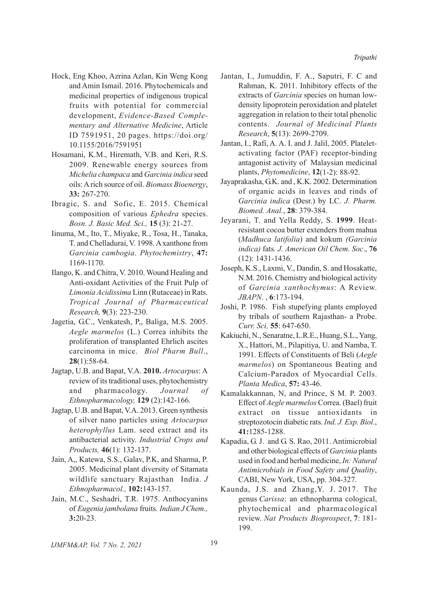- Hock, Eng Khoo, Azrina Azlan, Kin Weng Kong and Amin Ismail. 2016. Phytochemicals and medicinal properties of indigenous tropical fruits with potential for commercial development, *Evidence-Based Complementary and Alternative Medicine*, Article ID 7591951, 20 pages. https://doi.org/ 10.1155/2016/7591951
- Hosamani, K.M., Hiremath, V.B. and Keri, R.S. 2009. Renewable energy sources from *Michelia champaca* and *Garcinia indica* seed oils: A rich source of oil. *Biomass Bioenergy*, **33:** 267-270.
- Ibragic, S. and Sofic, E. 2015. Chemical composition of various *Ephedra* species. *Bosn. J. Basic Med. Sci.,* **15** (3): 21-27.
- Iinuma, M., Ito, T., Miyake, R., Tosa, H., Tanaka, T. and Chelladurai, V. 1998. A xanthone from *Garcinia cambogia*. *Phytochemistry*, **47:** 1169-1170.
- Ilango, K. and Chitra, V. 2010. Wound Healing and Anti-oxidant Activities of the Fruit Pulp of *Limonia Acidissima* Linn (Rutaceae) in Rats. *Tropical Journal of Pharmaceutical Research,* **9**(3): 223-230.
- Jagetia, G.C., Venkatesh, P,, Baliga, M.S. 2005. *Aegle marmelos* (L.) Correa inhibits the proliferation of transplanted Ehrlich ascites carcinoma in mice. *Biol Pharm Bull*., **28**(1):58-64.
- Jagtap, U.B. and Bapat, V.A. **2010.** *Artocarpus*: A review of its traditional uses, phytochemistry and pharmacology. *Journal of Ethnopharmacology,* **129** (2):142-166.
- Jagtap, U.B. and Bapat, V.A. 2013. Green synthesis of silver nano particles using *Artocarpus heterophyllus* Lam. seed extract and its antibacterial activity. *Industrial Crops and Products,* **46**(1): 132-137.
- Jain, A,, Katewa, S.S., Galav, P.K, and Sharma, P. 2005. Medicinal plant diversity of Sitamata wildlife sanctuary Rajasthan India. *J Ethnopharmacol.,* **102:**143-157.
- Jain, M.C., Seshadri, T.R. 1975. Anthocyanins of *Eugenia jambolana* fruits. *Indian J Chem.,* **3:**20-23.
- Jantan, I., Jumuddin, F. A., Saputri, F. C and Rahman, K. 2011. Inhibitory effects of the extracts of *Garcinia* species on human lowdensity lipoprotein peroxidation and platelet aggregation in relation to their total phenolic contents. *Journal of Medicinal Plants Research*, **5**(13): 2699-2709.
- Jantan, I., Rafi, A. A. I. and J. Jalil, 2005. Plateletactivating factor (PAF) receptor-binding antagonist activity of Malaysian medicinal plants, *Phytomedicine*, **12**(1-2): 88-92.
- Jayaprakasha, G.K. and , K.K. 2002. Determination of organic acids in leaves and rinds of *Garcinia indica* (Desr.) by LC. *J. Pharm. Biomed. Anal.*, **28**: 379-384.
- Jeyarani, T. and Yella Reddy, S. **1999**. Heatresistant cocoa butter extenders from mahua (*Madhuca latifolia*) and kokum *(Garcinia indica)* fats*. J. American Oil Chem. Soc*., **76** (12): 1431-1436.
- Joseph, K.S., Laxmi, V., Dandin, S. and Hosakatte, N.M. 2016. Chemistry and biological activity of *Garcinia xanthochymus*: A Review. *JBAPN*. , **6**:173-194.
- Joshi, P. 1986. Fish stupefying plants employed by tribals of southern Rajasthan- a Probe. *Curr. Sci,* **55**: 647-650.
- Kakiuchi, N., Senaratne, L.R.E., Huang, S.L., Yang, X., Hattori, M., Pilapitiya, U. and Namba, T. 1991. Effects of Constituents of Beli (*Aegle marmelos*) on Spontaneous Beating and Calcium-Paradox of Myocardial Cells. *Planta Medica*, **57:** 43-46.
- Kamalakkannan, N, and Prince, S M. P. 2003. Effect of *Aegle marmelos* Correa. (Bael) fruit extract on tissue antioxidants in streptozotocin diabetic rats. *Ind. J. Exp. Biol*., **41:**1285-1288.
- Kapadia, G. J. and G. S. Rao, 2011. Antimicrobial and other biological effects of *Garcinia* plants used in food and herbal medicine, *In: Natural Antimicrobials in Food Safety and Quality*, CABI, New York, USA, pp. 304-327.
- Kaunda, J.S. and Zhang,Y. J. 2017. The genus *Carissa*: an ethnopharma cological, phytochemical and pharmacological review. *Nat Products Bioprospect*, **7**: 181- 199.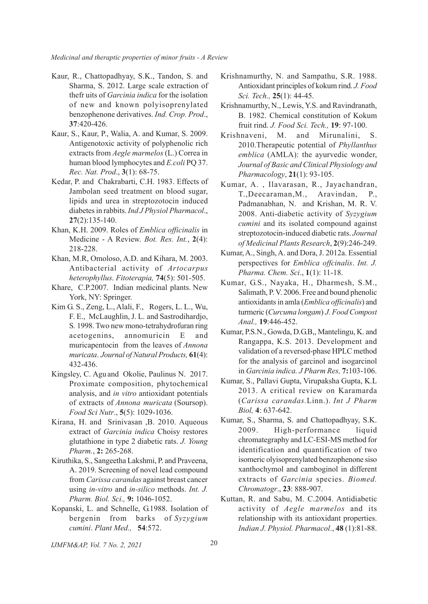- Kaur, R., Chattopadhyay, S.K., Tandon, S. and Sharma, S. 2012. Large scale extraction of thefr uits of *Garcinia indica* for the isolation of new and known polyisoprenylated benzophenone derivatives. *Ind. Crop. Prod*., **37**:420-426.
- Kaur, S., Kaur, P., Walia, A. and Kumar, S. 2009. Antigenotoxic activity of polyphenolic rich extracts from *Aegle marmelos* (L.) Correa in human blood lymphocytes and *E.coli* PQ 37. *Rec. Nat. Prod*., **3**(1): 68-75.
- Kedar, P. and Chakrabarti, C.H. 1983. Effects of Jambolan seed treatment on blood sugar, lipids and urea in streptozotocin induced diabetes in rabbits. *Ind J Physiol Pharmacol*., **27**(2):135-140.
- Khan, K.H. 2009. Roles of *Emblica officinalis* in Medicine - A Review. *Bot. Res. Int.*, **2**(4): 218-228.
- Khan, M.R, Omoloso, A.D. and Kihara, M. 2003. Antibacterial activity of *Artocarpus heterophyllus*. *Fitoterapia,* **74**(5): 501-505.
- Khare, C.P.2007. Indian medicinal plants. New York, NY: Springer.
- Kim G. S., Zeng, L., Alali, F., Rogers, L. L., Wu, F. E., McLaughlin, J. L. and Sastrodihardjo, S*.* 1998. Two new mono-tetrahydrofuran ring acetogenins, annomuricin E and muricapentocin from the leaves of *Annona muricata*. *Journal of Natural Products,* **61**(4): 432-436.
- Kingsley, C. Agu and Okolie, Paulinus N. 2017. Proximate composition, phytochemical analysis, and *in vitro* antioxidant potentials of extracts of *Annona muricata* (Soursop). *Food Sci Nutr*., **5**(5): 1029-1036.
- Kirana, H. and Srinivasan ,B. 2010. Aqueous extract of *Garcinia indica* Choisy restores glutathione in type 2 diabetic rats. *J. Young Pharm.*, **2:** 265-268.
- Kiruthika, S., Sangeetha Lakshmi, P. and Praveena, A. 2019. Screening of novel lead compound from *Carissa carandas* against breast cancer using *in-vitro* and *in-silico* methods. *Int. J. Pharm. Biol. Sci.,* **9:** 1046-1052.
- Kopanski, L. and Schnelle, G.1988. Isolation of bergenin from barks of *Syzygium cumini*. *Plant Med.,* **54**:572.
- Krishnamurthy, N. and Sampathu, S.R. 1988. Antioxidant principles of kokum rind. *J. Food Sci. Tech.,* **25**(1): 44-45.
- Krishnamurthy, N., Lewis, Y.S. and Ravindranath, B. 1982. Chemical constitution of Kokum fruit rind. *J. Food Sci. Tech.,* **19**: 97-100.
- Krishnaveni, M. and Mirunalini, S. 2010.Therapeutic potential of *Phyllanthus emblica* (AMLA): the ayurvedic wonder, *Journal of Basic and Clinical Physiology and Pharmacology*, **21**(1): 93-105.
- Kumar, A. , Ilavarasan, R., Jayachandran, T.,Deecaraman,M., Aravindan, P., Padmanabhan, N. and Krishan, M. R. V. 2008. Anti-diabetic activity of *Syzygium cumini* and its isolated compound against streptozotocin-induced diabetic rats. *Journal of Medicinal Plants Research*, **2**(9):246-249.
- Kumar, A., Singh, A. and Dora, J. 2012a. Essential perspectives for *Emblica offcinalis*. *Int. J. Pharma. Chem. Sci*., **1**(1): 11-18.
- Kumar, G.S., Nayaka, H., Dharmesh, S.M., Salimath, P. V. 2006. Free and bound phenolic antioxidants in amla (*Emblica officinalis*) and turmeric (*Curcuma longam*) *J. Food Compost Anal.,* **19**:446-452.
- Kumar, P.S.N., Gowda, D.G.B,, Mantelingu, K. and Rangappa, K.S. 2013. Development and validation of a reversed-phase HPLC method for the analysis of garcinol and isogarcinol in *Garcinia indica. J Pharm Res,* **7:**103-106.
- Kumar, S., Pallavi Gupta, Virupaksha Gupta, K.L 2013. A critical review on Karamarda (*Carissa carandas.*Linn.). *Int J Pharm Biol,* **4**: 637-642.
- Kumar, S., Sharma, S. and Chattopadhyay, S.K. 2009. High-performance liquid chromategraphy and LC-ESI-MS method for identification and quantification of two isomeric olyisoprenylated benzophenone siso xanthochymol and camboginol in different extracts of *Garcinia* species. *Biomed. Chromatogr*., **23**: 888-907.
- Kuttan, R. and Sabu, M. C.2004. Antidiabetic activity of *Aegle marmelos* and its relationship with its antioxidant properties. *Indian J. Physiol. Pharmacol*., **48** (1):81-88.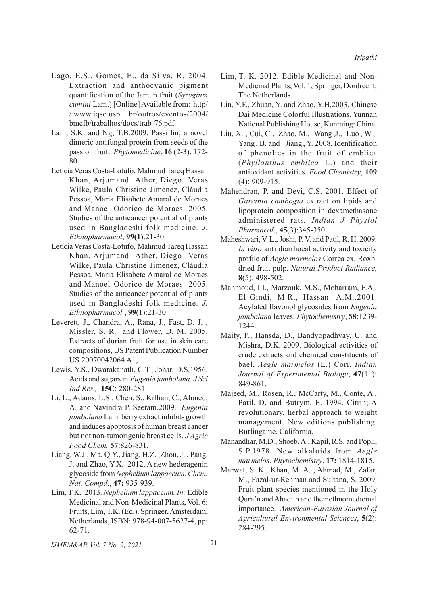- Lago, E.S., Gomes, E., da Silva, R. 2004. Extraction and anthocyanic pigment quantification of the Jamun fruit (*Syzygium cumini* Lam.) [Online] Available from: http/ / www.iqsc.usp. br/outros/eventos/2004/ bmcfb/trabalhos/docs/trab-76.pdf
- Lam, S.K. and Ng, T.B.2009. Passiflin, a novel dimeric antifungal protein from seeds of the passion fruit. *Phytomedicine*, **16** (2-3): 172- 80.
- Letícia Veras Costa-Lotufo, Mahmud Tareq Hassan Khan, Arjumand Ather, Diego Veras Wilke, Paula Christine Jimenez, Cláudia Pessoa, Maria Elisabete Amaral de Moraes and Manoel Odorico de Moraes. 2005. Studies of the anticancer potential of plants used in Bangladeshi folk medicine. *J. Ethnopharmacol*, **99(1)**:21-30
- Letícia Veras Costa-Lotufo, Mahmud Tareq Hassan Khan, Arjumand Ather, Diego Veras Wilke, Paula Christine Jimenez, Cláudia Pessoa, Maria Elisabete Amaral de Moraes and Manoel Odorico de Moraes. 2005. Studies of the anticancer potential of plants used in Bangladeshi folk medicine. *J. Ethnopharmacol.*, **99**(1):21-30
- Leverett, J., Chandra, A., Rana, J., Fast, D. J. , Missler, S. R. and Flower, D. M. 2005. Extracts of durian fruit for use in skin care compositions, US Patent Publication Number US 20070042064 A1,
- Lewis, Y.S., Dwarakanath, C.T., Johar, D.S.1956. Acids and sugars in *Eugenia jambolana*. *J Sci Ind Res.,* **15C**: 280-281.
- Li, L., Adams, L.S., Chen, S., Killian, C., Ahmed, A. and Navindra P. Seeram.2009. *Eugenia jambolana* Lam. berry extract inhibits growth and induces apoptosis of human breast cancer but not non-tumorigenic breast cells. *J Agric Food Chem.* **57**:826-831.
- Liang, W.J., Ma, Q.Y., Jiang, H.Z. ,Zhou, J. , Pang, J. and Zhao, Y.X. 2012. A new hederagenin glycoside from *Nephelium lappaceum*. *Chem. Nat. Compd*., **47:** 935-939.
- Lim, T.K. 2013. *Nephelium lappaceum. In:* Edible Medicinal and Non-Medicinal Plants, Vol. 6: Fruits, Lim, T.K. (Ed.). Springer, Amsterdam, Netherlands, ISBN: 978-94-007-5627-4, pp: 62-71.
- Lim, T. K. 2012. Edible Medicinal and Non-Medicinal Plants, Vol. 1, Springer, Dordrecht, The Netherlands.
- Lin, Y.F., Zhuan, Y. and Zhao, Y.H.2003. Chinese Dai Medicine Colorful Illustrations. Yunnan National Publishing House, Kunming: China.
- Liu, X. , Cui, C., Zhao, M., Wang ,J., Luo , W., Yang, B. and Jiang, Y. 2008. Identification of phenolics in the fruit of emblica (*Phyllanthus emblica* L.) and their antioxidant activities. *Food Chemistry*, **109** (4): 909-915.
- Mahendran, P. and Devi, C.S. 2001. Effect of *Garcinia cambogia* extract on lipids and lipoprotein composition in dexamethasone administered rats*. Indian J Physiol Pharmacol*., **45**(3):345-350.
- Maheshwari, V. L., Joshi, P. V. and Patil, R. H. 2009. *In vitro* anti diarrhoeal activity and toxicity profile of *Aegle marmelos* Correa ex. Roxb. dried fruit pulp. *Natural Product Radiance*, **8**(5): 498-502.
- Mahmoud, I.I., Marzouk, M.S., Moharram, F.A., El-Gindi, M.R,, Hassan. A.M..2001. Acylated flavonol glycosides from *Eugenia jambolana* leaves. *Phytochemistry*, **58:**1239- 1244.
- Maity, P., Hansda, D., Bandyopadhyay, U. and Mishra, D.K. 2009. Biological activities of crude extracts and chemical constituents of bael, *Aegle marmelos* (L.) Corr. *Indian Journal of Experimental Biology*, **47**(11): 849-861.
- Majeed, M., Rosen, R., McCarty, M., Conte, A., Patil, D, and Butrym, E. 1994. Citrin; A revolutionary, herbal approach to weight management. New editions publishing. Burlingame, California.
- Manandhar, M.D., Shoeb, A., Kapil, R.S. and Popli, S.P.1978. New alkaloids from *Aegle marmelos*. *Phytochemistry*, **17:** 1814-1815.
- Marwat, S. K., Khan, M. A. , Ahmad, M., Zafar, M., Fazal-ur-Rehman and Sultana, S. 2009. Fruit plant species mentioned in the Holy Qura'n and Ahadith and their ethnomedicinal importance. *American-Eurasian Journal of Agricultural Environmental Sciences*, **5**(2): 284-295.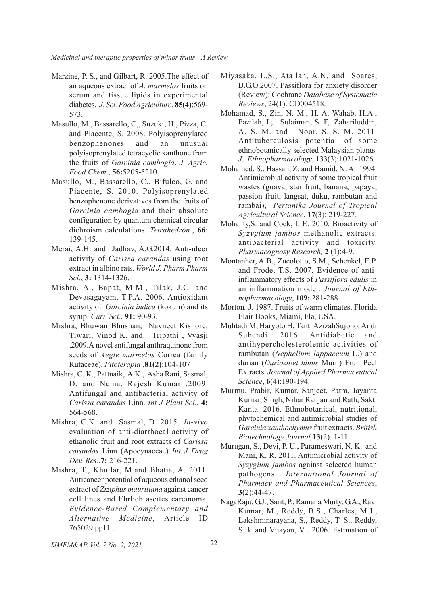- Marzine, P. S., and Gilbart, R. 2005.The effect of an aqueous extract of *A. marmelos* fruits on serum and tissue lipids in experimental diabetes. *J. Sci. Food Agriculture*, **85(4)**:569- 573.
- Masullo, M., Bassarello, C,, Suzuki, H., Pizza, C. and Piacente, S. 2008. Polyisoprenylated benzophenones and an unusual polyisoprenylated tetracyclic xanthone from the fruits of *Garcinia cambogia*. *J. Agric. Food Chem*., **56:**5205-5210.
- Masullo, M., Bassarello, C., Bifulco, G. and Piacente, S. 2010. Polyisoprenylated benzophenone derivatives from the fruits of *Garcinia cambogia* and their absolute configuration by quantum chemical circular dichroism calculations. *Tetrahedron*., **66**: 139-145.
- Merai, A.H. and Jadhav, A.G.2014. Anti-ulcer activity of *Carissa carandas* using root extract in albino rats. *World J. Pharm Pharm Sci*., **3:** 1314-1326.
- Mishra, A., Bapat, M.M., Tilak, J.C. and Devasagayam, T.P.A. 2006. Antioxidant activity of *Garcinia indica* (kokum) and its syrup. *Curr. Sci*., **91:** 90-93.
- Mishra, Bhuwan Bhushan, Navneet Kishore, Tiwari, Vinod K. and Tripathi , Vyasji .2009.A novel antifungal anthraquinone from seeds of *Aegle marmelos* Correa (family Rutaceae). *Fitoterapia* ,**81(2)**:104-107
- Mishra, C. K., Pattnaik, A.K., Asha Rani, Sasmal, D. and Nema, Rajesh Kumar .2009. Antifungal and antibacterial activity of *Carissa carandas* Linn. *Int J Plant Sci*., **4:** 564-568.
- Mishra, C.K. and Sasmal, D. 2015 *In-vivo* evaluation of anti-diarrhoeal activity of ethanolic fruit and root extracts of *Carissa carandas*. Linn. (Apocynaceae). *Int. J. Drug Dev. Res*.,**7:** 216-221.
- Mishra, T., Khullar, M.and Bhatia, A. 2011. Anticancer potential of aqueous ethanol seed extract of *Ziziphus mauritiana* against cancer cell lines and Ehrlich ascites carcinoma, *Evidence-Based Complementary and Alternative Medicine*, Article ID 765029.pp11 .
- Miyasaka, L.S., Atallah, A.N. and Soares, B.G.O.2007. Passiflora for anxiety disorder (Review): Cochrane *Database of Systematic Reviews*, 24(1): CD004518.
- Mohamad, S., Zin, N. M., H. A. Wahab, H.A., Pazilah, I., Sulaiman, S. F, Zahariluddin, A. S. M. and Noor, S. S. M. 2011. Antituberculosis potential of some ethnobotanically selected Malaysian plants. *J. Ethnopharmacology*, **133**(3):1021-1026.
- Mohamed, S., Hassan, Z. and Hamid, N. A. 1994. Antimicrobial activity of some tropical fruit wastes (guava, star fruit, banana, papaya, passion fruit, langsat, duku, rambutan and rambai), *Pertanika Journal of Tropical Agricultural Science*, **17**(3): 219-227.
- Mohanty,S. and Cock, I. E. 2010. Bioactivity of *Syzygium jambos* methanolic extracts: antibacterial activity and toxicity. *Pharmacognosy Research,* **2** (1):4-9.
- Montanher, A.B., Zucolotto, S.M., Schenkel, E.P. and Frode, T.S. 2007. Evidence of antiinflammatory effects of *Passiflora edulis* in an inflammation model. *Journal of Ethnopharmacology*, **109:** 281-288.
- Morton*,* J. 1987. Fruits of warm climates, Florida Flair Books, Miami, Fla, USA.
- Muhtadi M, Haryoto H, Tanti AzizahSujono, Andi Suhendi. 2016. Antidiabetic and antihypercholesterolemic activities of rambutan (*Nephelium lappaceum* L.) and durian (*Duriozibet hinus* Murr.) Fruit Peel Extracts. *Journal of Applied Pharmaceutical Science*, **6**(4):190-194.
- Murmu, Prabir, Kumar, Sanjeet, Patra, Jayanta Kumar, Singh, Nihar Ranjan and Rath, Sakti Kanta. 2016. Ethnobotanical, nutritional, phytochemical and antimicrobial studies of *Garcinia xanthochymus* fruit extracts. *British Biotechnology Journal,***13**(2): 1-11.
- Murugan, S., Devi, P. U., Parameswari, N. K. and Mani, K. R. 2011. Antimicrobial activity of *Syzygium jambos* against selected human pathogens. *International Journal of Pharmacy and Pharmaceutical Sciences*, **3**(2):44-47.
- NagaRaju, G.J., Sarit, P., Ramana Murty, G.A., Ravi Kumar, M., Reddy, B.S., Charles, M.J., Lakshminarayana, S., Reddy, T. S., Reddy, S.B. and Vijayan, V *.* 2006. Estimation of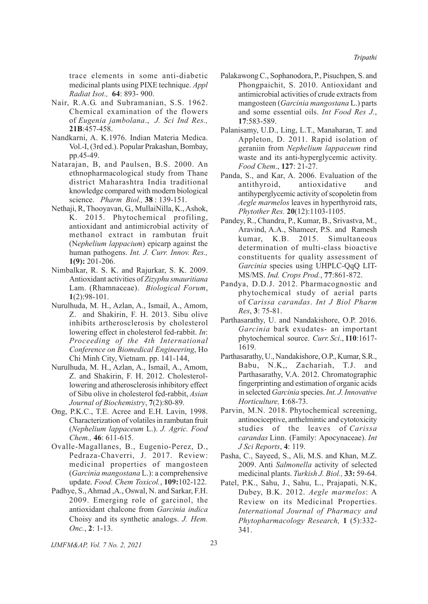trace elements in some anti-diabetic medicinal plants using PIXE technique. *Appl Radiat Isot.,* **64**: 893- 900.

- Nair, R.A.G. and Subramanian, S.S. 1962. Chemical examination of the flowers of *Eugenia jambolana*., *J. Sci Ind Res.,* **21B**:457-458.
- Nandkarni, A. K.1976. Indian Materia Medica. Vol.-I, (3rd ed.). Popular Prakashan, Bombay, pp.45-49.
- Natarajan, B, and Paulsen, B.S. 2000. An ethnopharmacological study from Thane district Maharashtra India traditional knowledge compared with modern biological science. *Pharm Biol.,* **38** : 139-151.
- Nethaji, R, Thooyavan, G., MullaiNilla, K., Ashok, K. 2015. Phytochemical profiling, antioxidant and antimicrobial activity of methanol extract in rambutan fruit (N*ephelium lappacium*) epicarp against the human pathogens. *Int. J. Curr. Innov. Res.,* **1(9):** 201-206.
- Nimbalkar, R. S. K. and Rajurkar, S. K. 2009. Antioxidant activities of *Zizyphu smauritiana* Lam. (Rhamnaceae). *Biological Forum*, **1**(2):98-101.
- Nurulhuda, M. H., Azlan, A., Ismail, A., Amom, Z. and Shakirin, F. H. 2013. Sibu olive inhibits artherosclerosis by cholesterol lowering effect in cholesterol fed-rabbit. *In*: *Proceeding of the 4th International Conference on Biomedical Engineering*, Ho Chi Minh City, Vietnam. pp. 141-144,
- Nurulhuda, M. H., Azlan, A., Ismail, A., Amom, Z. and Shakirin, F. H. 2012. Cholesterollowering and atherosclerosis inhibitory effect of Sibu olive in cholesterol fed-rabbit, *Asian Journal of Biochemistry*, **7**(2):80-89.
- Ong, P.K.C., T.E. Acree and E.H. Lavin, 1998. Characterization of volatiles in rambutan fruit (*Nephelium lappaceum* L.). *J. Agric. Food Chem.,* **46**: 611-615.
- Ovalle-Magallanes, B., Eugenio-Perez, D., Pedraza-Chaverri, J. 2017. Review: medicinal properties of mangosteen (*Garcinia mangostana* L.): a comprehensive update. *Food. Chem Toxicol.*, **109:**102-122.
- Padhye, S., Ahmad ,A., Oswal, N. and Sarkar, F.H. 2009. Emerging role of garcinol, the antioxidant chalcone from *Garcinia indica* Choisy and its synthetic analogs. *J. Hem. Onc.*, **2**: 1-13.
- Palakawong C., Sophanodora, P., Pisuchpen, S. and Phongpaichit, S. 2010. Antioxidant and antimicrobial activities of crude extracts from mangosteen (*Garcinia mangostana* L.) parts and some essential oils. *Int Food Res J.*, **17**:583-589.
- Palanisamy, U.D., Ling, L.T., Manaharan, T. and Appleton, D. 2011. Rapid isolation of geraniin from *Nephelium lappaceum* rind waste and its anti-hyperglycemic activity. *Food Chem*., **127**: 21-27.
- Panda, S., and Kar, A. 2006. Evaluation of the antithyroid, antioxidative and antihyperglycemic activity of scopoletin from *Aegle marmelos* leaves in hyperthyroid rats, *Phytother Res.* **20**(12):1103-1105.
- Pandey, R., Chandra, P., Kumar, B., Srivastva, M., Aravind, A.A., Shameer, P.S. and Ramesh kumar, K.B. 2015. Simultaneous determination of multi-class bioactive constituents for quality assessment of *Garcinia* species using UHPLC-QqQ LIT-MS/MS. *Ind. Crops Prod.*, **77**:861-872.
- Pandya, D.D.J. 2012. Pharmacognostic and phytochemical study of aerial parts of *Carissa carandas*. *Int J Biol Pharm Res*, **3**: 75-81.
- Parthasarathy, U. and Nandakishore, O.P. 2016. *Garcinia* bark exudates- an important phytochemical source. *Curr. Sci*., **110**:1617- 1619.
- Parthasarathy, U., Nandakishore, O.P., Kumar, S.R., Babu, N.K,, Zachariah, T.J. and Parthasarathy, V.A. 2012. Chromatographic fingerprinting and estimation of organic acids in selected *Garcinia* species. *Int. J. Innovative Horticulture,* **1**:68-73.
- Parvin, M.N. 2018. Phytochemical screening, antinociceptive, anthelmintic and cytotoxicity studies of the leaves of *Carissa carandas* Linn. (Family: Apocynaceae). *Int J Sci Reports*, **4**: 119.
- Pasha, C., Sayeed, S., Ali, M.S. and Khan, M.Z. 2009. Anti *Salmonella* activity of selected medicinal plants. *Turkish J. Biol.,* **33:** 59-64.
- Patel, P.K., Sahu, J., Sahu, L., Prajapati, N.K, Dubey, B.K. 2012. *Aegle marmelos*: A Review on its Medicinal Properties. *International Journal of Pharmacy and Phytopharmacology Research,* **1** (5):332- 341.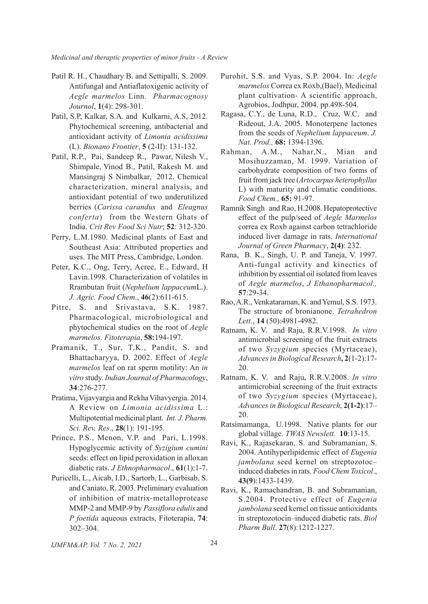- Patil R. H., Chaudhary B. and Settipalli, S. 2009. Antifungal and Antiaflatoxigenic activity of *Aegle marmelos* Linn. *Pharmacognosy Journol*, **1**(4): 298-301.
- Patil, S.P, Kalkar, S.A. and Kulkarni, A.S, 2012. Phytochemical screening, antibacterial and antioxidant activity of *Limonia acidissima* (L). *Bionano Frontier*, **5** (2-II): 131-132.
- Patil, R.P., Pai, Sandeep R., Pawar, Nilesh V., Shimpale, Vinod B., Patil, Rakesh M. and Mansingraj S Nimbalkar, 2012. Chemical characterization, mineral analysis, and antioxidant potential of two underutilized berries (*Carissa carandus* and *Eleagnus conferta*) from the Western Ghats of India. *Crit Rev Food Sci Nutr*; **52**: 312-320.
- Perry, L.M.1980. Medicinal plants of East and Southeast Asia: Attributed properties and uses. The MIT Press, Cambridge, London.
- Peter, K.C., Ong, Terry, Acree, E., Edward, H Lavin.1998. Characterization of volatiles in Rrambutan fruit (*Nephelium lappaceum*L.). *J. Agric. Food Chem.*, **46**(2):611-615.
- Pitre, S. and Srivastava, S.K. 1987. Pharmacological, microbiological and phytochemical studies on the root of *Aegle marmelos. Fitoterapia*, **58:**194-197.
- Pramanik, T., Sur, T.K., Pandit, S. and Bhattacharyya, D. 2002. Effect of *Aegle marmelos* leaf on rat sperm motility: An *in vitro* study. *Indian Journal of Pharmacology*, **34**:276-277.
- Pratima, Vijavyargia and Rekha Vihavyergia. 2014. A Review on *Limonia acidissima* L.: Multipotential medicinal plant. *Int. J. Pharm. Sci. Rev. Res*., **28**(1): 191-195.
- Prince, P.S., Menon, V.P. and Pari, L.1998. Hypoglycemic activity of *Syzigium cumini* seeds: effect on lipid peroxidation in alloxan diabetic rats. *J Ethnopharmacol*., **61**(1):1-7.
- Puricelli, L., Aicab, I.D., Sartorb, L., Garbisab, S. and Caniato, R. 2003. Preliminary evaluation of inhibition of matrix-metalloprotease MMP-2 and MMP-9 by *Passiflora edulis* and *P foetida* aqueous extracts, Fitoterapia, **74**: 302–304.
- Purohit, S.S. and Vyas, S.P. 2004. In: *Aegle marmelos* Correa ex Roxb,(Bael), Medicinal plant cultivation- A scientific approach, Agrobios, Jodhpur, 2004. pp.498-504.
- Ragasa, C.Y., de Luna, R.D., Cruz, W.C. and Rideout, J.A. 2005. Monoterpene lactones from the seeds of *Nephelium lappaceum*. *J. Nat. Prod.,* **68:** 1394-1396.
- Rahman, A.M., Nahar,N., Mian and Mosihuzzaman, M. 1999. Variation of carbohydrate composition of two forms of fruit from jack tree (*Artocarpus heterophyllus* L) with maturity and climatic conditions. *Food Chem.,* **65:** 91-97.
- Ramnik Singh and Rao, H.2008. Hepatoprotective effect of the pulp/seed of *Aegle Marmelos* correa ex Roxb against carbon tetrachloride induced liver damage in rats. *International Journal of Green Pharmacy*, **2(4)**: 232.
- Rana, B. K., Singh, U. P. and Taneja, V. 1997. Anti-fungal activity and kinectics of inhibition by essential oil isolated from leaves of *Aegle marmelos*, *J Ethanopharmacol.,* **57**:29-34.
- Rao, A.R., Venkataraman, K. and Yemul, S.S. 1973. The structure of bronianone. *Tetrahedron Lett.*, **14** (50):4981-4982.
- Ratnam, K. V. and Raju, R.R.V.1998. *In vitro* antimicrobial screening of the fruit extracts of two *Syzygium* species (Myrtaceae), *Advances in Biological Research***, 2**(1-2):17- 20.
- Ratnam, K. V. and Raju, R.R.V.2008. *In vitro* antimicrobial screening of the fruit extracts of two *Syzygium* species (Myrtaceae), *Advances in Biological Research*, **2(1-2)**:17– 20.
- Ratsimamanga, U.1998. Native plants for our global village. *TWAS Newslett.* **10**:13-15.
- Ravi, K., Rajasekaran, S. and Subramanian, S. 2004. Antihyperlipidemic effect of *Eugenia jambolana* seed kernel on streptozotoc– induced diabetes in rats. *Food Chem Toxicol*., **43(9**):1433-1439.
- Ravi, K., Ramachandran, B. and Subramanian, S.2004. Protective effect of *Eugenia jambolana* seed kernel on tissue antioxidants in streptozotocin–induced diabetic rats. *Biol Pharm Bull*. **27**(8):1212-1227.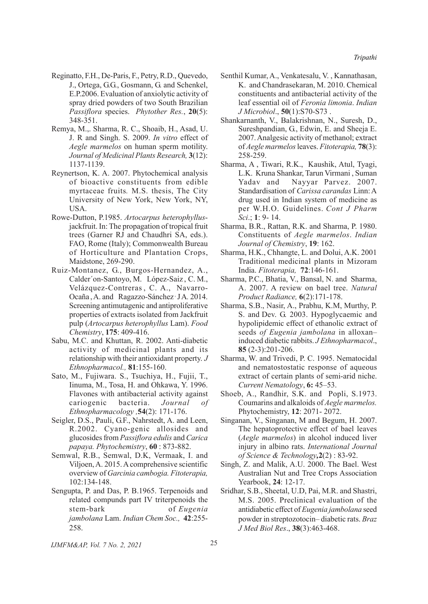- Reginatto, F.H., De-Paris, F., Petry, R.D., Quevedo, J., Ortega, G.G., Gosmann, G. and Schenkel, E.P.2006. Evaluation of anxiolytic activity of spray dried powders of two South Brazilian *Passiflora* species. *Phytother Res.*, **20**(5): 348-351.
- Remya, M.,. Sharma, R. C., Shoaib, H., Asad, U. J. R and Singh. S. 2009. *In vitro* effect of *Aegle marmelos* on human sperm motility. *Journal of Medicinal Plants Research,* **3**(12): 1137-1139.
- Reynertson, K. A. 2007. Phytochemical analysis of bioactive constituents from edible myrtaceae fruits*.* M.S. thesis, The City University of New York, New York, NY, USA.
- Rowe-Dutton, P.1985. *Artocarpus heterophyllus*jackfruit. In: The propagation of tropical fruit trees (Garner RJ and Chaudhri SA, eds.). FAO, Rome (Italy); Commonwealth Bureau of Horticulture and Plantation Crops, Maidstone, 269-290.
- Ruiz-Montanez, G., Burgos-Hernandez, A., Calder´on-Santoyo, M. López-Saiz , C. M., Velázquez-Contreras , C. A., Navarro-Ocaña , A. and Ragazzo-Sánchez , J A*.* 2014. Screening antimutagenic and antiproliferative properties of extracts isolated from Jackfruit pulp (*Artocarpus heterophyllus* Lam). *Food Chemistry*, **175**: 409-416.
- Sabu, M.C. and Khuttan, R. 2002. Anti-diabetic activity of medicinal plants and its relationship with their antioxidant property. *J Ethnopharmacol.,* **81**:155-160.
- Sato, M., Fujiwara. S., Tsuchiya, H., Fujii, T., Iinuma, M., Tosa, H. and Ohkawa, Y. 1996. Flavones with antibacterial activity against cariogenic bacteria. *Journal of Ethnopharmacology ,***54**(2): 171-176.
- Seigler, D.S., Pauli, G.F., Nahrstedt, A. and Leen, R.2002. Cyano-genic allosides and glucosides from *Passiflora edulis* and *Carica papaya. Phytochemistry*, **60** : 873-882.
- Semwal, R.B., Semwal, D.K, Vermaak, I. and Viljoen, A. 2015. A comprehensive scientific overview of *Garcinia cambogia. Fitoterapia,* 102:134-148.
- Sengupta, P. and Das, P. B.1965. Terpenoids and related compunds part IV triterpenoids the stem-bark of *Eugenia jambolana* Lam. *Indian Chem Soc.,* **42**:255- 258.
- Senthil Kumar, A., Venkatesalu, V. , Kannathasan, K. and Chandrasekaran, M. 2010. Chemical constituents and antibacterial activity of the leaf essential oil of *Feronia limonia*. *Indian J Microbiol*., **50**(1):S70-S73 .
- Shankarnanth, V., Balakrishnan, N., Suresh, D., Sureshpandian, G., Edwin, E. and Sheeja E. 2007. Analgesic activity of methanol; extract of *Aegle marmelos* leaves. *Fitoterapia,* **78**(3): 258-259.
- Sharma, A , Tiwari, R.K., Kaushik, Atul, Tyagi, L.K. Kruna Shankar, Tarun Virmani , Suman Yadav and Nayyar Parvez. 2007. Standardisation of *Carissa carandas* Linn: A drug used in Indian system of medicine as per W.H.O. Guidelines. *Cont J Pharm Sci*.; **1**: 9- 14.
- Sharma, B.R., Rattan, R.K. and Sharma, P. 1980. Constituents of *Aegle marmelos*. *Indian Journal of Chemistry*, **19**: 162.
- Sharma, H.K., Chhangte, L. and Dolui, A.K. 2001 Traditional medicinal plants in Mizoram India. *Fitoterapia,* **72**:146-161.
- Sharma, P.C., Bhatia, V., Bansal, N. and Sharma, A. 2007. A review on bael tree. *Natural Product Radiance,* **6**(2):171-178.
- Sharma, S.B., Nasir, A., Prabhu, K.M, Murthy, P. S. and Dev. G. 2003. Hypoglycaemic and hypolipidemic effect of ethanolic extract of seeds *of Eugenia jambolana* in alloxan– induced diabetic rabbits. *J Ethnopharmacol*., **85** (2-3):201-206.
- Sharma, W. and Trivedi, P. C. 1995. Nematocidal and nematostostatic response of aqueous extract of certain plants of semi-arid niche. *Current Nematology*, **6:** 45–53.
- Shoeb, A., Randhir, S.K. and Popli, S.1973. Coumarins and alkaloids of *Aegle marmelos.* Phytochemistry, **12**: 2071- 2072.
- Singanan, V., Singanan, M and Begum, H. 2007. The hepatoprotective effect of bael leaves (*Aegle marmelos*) in alcohol induced liver injury in albino rats. *International Journal of Science & Technology,***2**(2) : 83-92.
- Singh, Z. and Malik, A.U. 2000. The Bael. West Australian Nut and Tree Crops Association Yearbook, **24**: 12-17.
- Sridhar, S.B., Sheetal, U.D, Pai, M.R. and Shastri, M.S. 2005. Preclinical evaluation of the antidiabetic effect of *Eugenia jambolana* seed powder in streptozotocin– diabetic rats. *Braz J Med Biol Res*., **38**(3):463-468.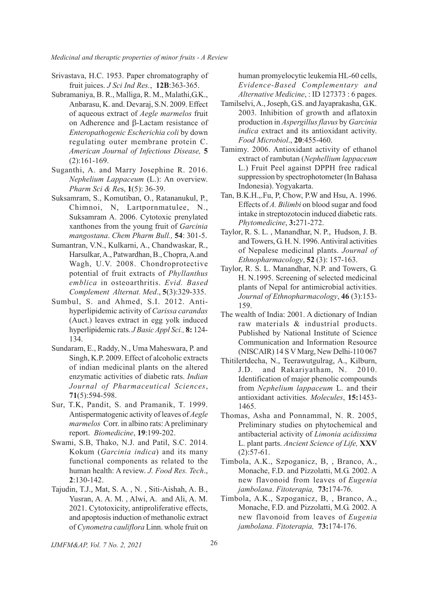- Srivastava, H.C. 1953. Paper chromatography of fruit juices. *J Sci Ind Res.*, **12B**:363-365.
- Subramaniya, B. R., Malliga, R. M., Malathi,G.K., Anbarasu, K. and. Devaraj, S.N. 2009. Effect of aqueous extract of *Aegle marmelos* fruit on Adherence and  $\beta$ -Lactam resistance of *Enteropathogenic Escherichia coli* by down regulating outer membrane protein C. *American Journal of Infectious Disease,* **5** (2):161-169.
- Suganthi, A. and Marry Josephine R. 2016. *Nephelium Lappaceum* (L.): An overview. *Pharm Sci & Re*s, **1**(5): 36-39.
- Suksamram, S., Komutiban, O., Ratananukul, P., Chimnoi, N, Lartpornmatulee, N., Suksamram A. 2006. Cytotoxic prenylated xanthones from the young fruit of *Garcinia mangostana*. *Chem Pharm Bull.,* **54**: 301-5.
- Sumantran, V.N., Kulkarni, A., Chandwaskar, R., Harsulkar, A., Patwardhan, B., Chopra, A.and Wagh, U.V. 2008. Chondroprotective potential of fruit extracts of *Phyllanthus emblica* in osteoarthritis. *Evid. Based Complement Alternat. Med*., **5**(3):329-335.
- Sumbul, S. and Ahmed, S.I. 2012. Antihyperlipidemic activity of *Carissa carandas* (Auct.) leaves extract in egg yolk induced hyperlipidemic rats. *J Basic Appl Sci.,* **8:** 124- 134.
- Sundaram, E., Raddy, N., Uma Maheswara, P. and Singh, K.P. 2009. Effect of alcoholic extracts of indian medicinal plants on the altered enzymatic activities of diabetic rats. *Indian Journal of Pharmaceutical Sciences*, **71**(5):594-598.
- Sur, T.K, Pandit, S. and Pramanik, T. 1999. Antispermatogenic activity of leaves of *Aegle marmelos* Corr. in albino rats: A preliminary report. *Biomedicine*, **19**:199-202.
- Swami, S.B, Thako, N.J. and Patil, S.C. 2014. Kokum (*Garcinia indica*) and its many functional components as related to the human health: A review. *J. Food Res. Tech*., **2**:130-142.
- Tajudin, T.J., Mat, S. A. , N. , Siti-Aishah, A. B., Yusran, A. A. M. , Alwi, A. and Ali, A. M. 2021. Cytotoxicity, antiproliferative effects, and apoptosis induction of methanolic extract of *Cynometra cauliflora* Linn. whole fruit on

human promyelocytic leukemia HL-60 cells, *Evidence-Based Complementary and Alternative Medicine*, : ID 127373 : 6 pages.

- Tamilselvi, A., Joseph, G.S. and Jayaprakasha, G.K. 2003. Inhibition of growth and aflatoxin production in *Aspergillus flavus* by *Garcinia indica* extract and its antioxidant activity. *Food Microbiol*., **20**:455-460.
- Tamimy. 2006. Antioxidant activity of ethanol extract of rambutan (*Nephellium lappaceum* L.) Fruit Peel against DPPH free radical suppression by spectrophotometer (In Bahasa Indonesia). Yogyakarta.
- Tan, B.K.H.,.Fu, P, Chow, P.W and Hsu, A. 1996. Effects of *A. Bilimbi* on blood sugar and food intake in streptozotocin induced diabetic rats. *Phytomedicine*, **3:**271-272.
- Taylor, R. S. L. , Manandhar, N. P., Hudson, J. B. and Towers, G. H. N. 1996. Antiviral activities of Nepalese medicinal plants. *Journal of Ethnopharmacology*, **52** (3): 157-163.
- Taylor, R. S. L. Manandhar, N.P. and Towers, G. H. N.1995. Screening of selected medicinal plants of Nepal for antimicrobial activities. *Journal of Ethnopharmacology*, **46** (3):153- 159.
- The wealth of India: 2001. A dictionary of Indian raw materials & industrial products. Published by National Institute of Science Communication and Information Resource (NISCAIR) 14 S V Marg, New Delhi-110 067
- Thitilertdecha, N., Teerawutgulrag, A., Kilburn, J.D. and Rakariyatham, N. 2010. Identification of major phenolic compounds from *Nephelium lappaceum* L. and their antioxidant activities. *Molecules*, **15:**1453- 1465.
- Thomas, Asha and Ponnammal, N. R. 2005, Preliminary studies on phytochemical and antibacterial activity of *Limonia acidissima* L. plant parts. *Ancient Science of Life,* **XXV** (2):57-61.
- Timbola, A.K., Szpoganicz, B, , Branco, A., Monache, F.D. and Pizzolatti, M.G. 2002. A new flavonoid from leaves of *Eugenia jambolana*. *Fitoterapia,* **73:**174-76.
- Timbola, A.K., Szpoganicz, B, , Branco, A., Monache, F.D. and Pizzolatti, M.G. 2002. A new flavonoid from leaves of *Eugenia jambolana*. *Fitoterapia,* **73:**174-176.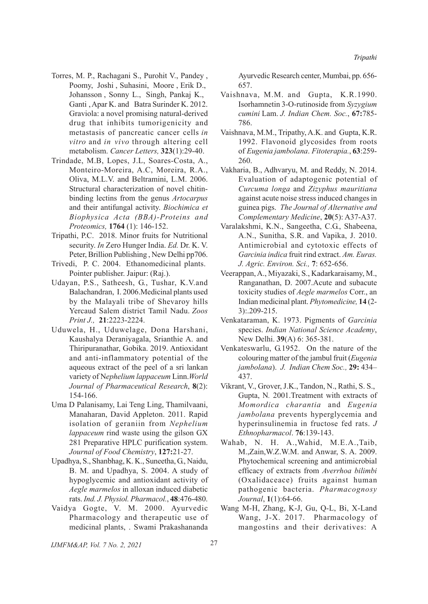- Torres, M. P., Rachagani S., Purohit V., Pandey , Poomy, Joshi , Suhasini, Moore , Erik D., Johansson , Sonny L., Singh, Pankaj K., Ganti , Apar K. and Batra Surinder K. 2012. Graviola: a novel promising natural-derived drug that inhibits tumorigenicity and metastasis of pancreatic cancer cells *in vitro* and *in vivo* through altering cell metabolism. *Cancer Letters,* **323**(1):29-40.
- Trindade, M.B, Lopes, J.L, Soares-Costa, A., Monteiro-Moreira, A.C, Moreira, R.A., Oliva, M.L.V. and Beltramini, L.M. 2006. Structural characterization of novel chitinbinding lectins from the genus *Artocarpus* and their antifungal activity. *Biochimica et Biophysica Acta (BBA)-Proteins and Proteomics,* **1764** (1): 146-152.
- Tripathi, P.C. 2018. Minor fruits for Nutritional security. *In* Zero Hunger India. *Ed.* Dr. K. V. Peter, Brillion Publishing , New Delhi pp706.
- Trivedi, P. C. 2004. Ethanomedicinal plants. Pointer publisher. Jaipur: (Raj.).
- Udayan, P.S., Satheesh, G., Tushar, K.V.and Balachandran, I. 2006.Medicinal plants used by the Malayali tribe of Shevaroy hills Yercaud Salem district Tamil Nadu. *Zoos Print J.,* **21**:2223-2224.
- Uduwela, H., Uduwelage, Dona Harshani, Kaushalya Deraniyagala, Srianthie A. and Thiripuranathar, Gobika. 2019. Antioxidant and anti-inflammatory potential of the aqueous extract of the peel of a sri lankan variety of N*ephelium lappaceum* Linn.*World Journal of Pharmaceutical Research*, **8**(2): 154-166.
- Uma D Palanisamy, Lai Teng Ling, Thamilvaani, Manaharan, David Appleton. 2011. Rapid isolation of geraniin from *Nephelium lappaceum* rind waste using the gilson GX 281 Preparative HPLC purification system. *Journal of Food Chemistry*, **127:**21-27.
- Upadhya, S., Shanbhag, K. K., Suneetha, G., Naidu, B. M. and Upadhya, S. 2004. A study of hypoglycemic and antioxidant activity of *Aegle marmelos* in alloxan induced diabetic rats. *Ind. J. Physiol. Pharmacol.*, **48**:476-480.
- Vaidya Gogte, V. M. 2000. Ayurvedic Pharmacology and therapeutic use of medicinal plants, . Swami Prakashananda

Ayurvedic Research center, Mumbai, pp. 656- 657.

- Vaishnava, M.M. and Gupta, K.R.1990. Isorhamnetin 3-O-rutinoside from *Syzygium cumini* Lam. *J. Indian Chem. Soc.*, **67:**785- 786.
- Vaishnava, M.M., Tripathy, A.K. and Gupta, K.R. 1992. Flavonoid glycosides from roots of *Eugenia jambolana*. *Fitoterapia.*, **63**:259- 260.
- Vakharia, B., Adhvaryu, M. and Reddy, N. 2014. Evaluation of adaptogenic potential of *Curcuma longa* and *Zizyphus mauritiana* against acute noise stress induced changes in guinea pigs. *The Journal of Alternative and Complementary Medicine*, **20**(5): A37-A37.
- Varalakshmi, K.N., Sangeetha, C.G., Shabeena, A.N., Sunitha, S.R. and Vapika, J. 2010. Antimicrobial and cytotoxic effects of *Garcinia indica* fruit rind extract. *Am. Euras. J. Agric. Environ. Sci.,* **7**: 652-656.
- Veerappan, A., Miyazaki, S., Kadarkaraisamy, M., Ranganathan, D. 2007.Acute and subacute toxicity studies of *Aegle marmelos* Corr., an Indian medicinal plant. *Phytomedicine,* **14** (2- 3):.209-215.
- Venkataraman, K. 1973. Pigments of *Garcinia* species. *Indian National Science Academy*, New Delhi. **39**(A) 6: 365-381.
- Venkateswarlu, G.1952. On the nature of the colouring matter of the jambul fruit (*Eugenia jambolana*). *J. Indian Chem Soc.,* **29:** 434– 437.
- Vikrant, V., Grover, J.K., Tandon, N., Rathi, S. S., Gupta, N*.* 2001.Treatment with extracts of *Momordica charantia* and *Eugenia jambolana* prevents hyperglycemia and hyperinsulinemia in fructose fed rats. *J Ethnopharmacol*. **76**:139-143.
- Wahab, N. H. A.,Wahid, M.E.A.,Taib, M.,Zain,W.Z.W.M. and Anwar, S. A. 2009. Phytochemical screening and antimicrobial efficacy of extracts from *Averrhoa bilimbi* (Oxalidaceace) fruits against human pathogenic bacteria. *Pharmacognosy Journal*, **1**(1):64-66.
- Wang M-H, Zhang, K-J, Gu, Q-L, Bi, X-Land Wang, J-X. 2017. Pharmacology of mangostins and their derivatives: A